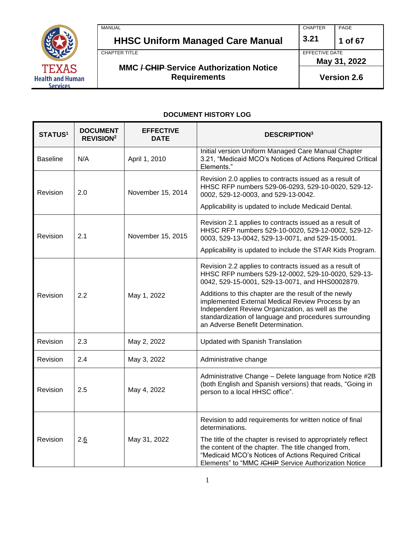

MANUAL PAGE **HHSC Uniform Managed Care Manual 3.21 1 of 67** CHAPTER TITLE EFFECTIVE DATE **MMC / CHIP Service Authorization Notice Requirements May 31, 2022 Version 2.6**

#### **DOCUMENT HISTORY LOG**

| <b>STATUS1</b>  | <b>DOCUMENT</b><br><b>REVISION<sup>2</sup></b> | <b>EFFECTIVE</b><br><b>DATE</b> | <b>DESCRIPTION3</b>                                                                                                                                                                                                                                                                                                                                                                                                              |
|-----------------|------------------------------------------------|---------------------------------|----------------------------------------------------------------------------------------------------------------------------------------------------------------------------------------------------------------------------------------------------------------------------------------------------------------------------------------------------------------------------------------------------------------------------------|
| <b>Baseline</b> | N/A                                            | April 1, 2010                   | Initial version Uniform Managed Care Manual Chapter<br>3.21, "Medicaid MCO's Notices of Actions Required Critical<br>Elements."                                                                                                                                                                                                                                                                                                  |
| Revision        | 2.0                                            | November 15, 2014               | Revision 2.0 applies to contracts issued as a result of<br>HHSC RFP numbers 529-06-0293, 529-10-0020, 529-12-<br>0002, 529-12-0003, and 529-13-0042.<br>Applicability is updated to include Medicaid Dental.                                                                                                                                                                                                                     |
| Revision        | 2.1                                            | November 15, 2015               | Revision 2.1 applies to contracts issued as a result of<br>HHSC RFP numbers 529-10-0020, 529-12-0002, 529-12-<br>0003, 529-13-0042, 529-13-0071, and 529-15-0001.<br>Applicability is updated to include the STAR Kids Program.                                                                                                                                                                                                  |
| Revision        | 2.2                                            | May 1, 2022                     | Revision 2.2 applies to contracts issued as a result of<br>HHSC RFP numbers 529-12-0002, 529-10-0020, 529-13-<br>0042, 529-15-0001, 529-13-0071, and HHS0002879.<br>Additions to this chapter are the result of the newly<br>implemented External Medical Review Process by an<br>Independent Review Organization, as well as the<br>standardization of language and procedures surrounding<br>an Adverse Benefit Determination. |
| Revision        | 2.3                                            | May 2, 2022                     | Updated with Spanish Translation                                                                                                                                                                                                                                                                                                                                                                                                 |
| Revision        | 2.4                                            | May 3, 2022                     | Administrative change                                                                                                                                                                                                                                                                                                                                                                                                            |
| Revision        | 2.5                                            | May 4, 2022                     | Administrative Change - Delete language from Notice #2B<br>(both English and Spanish versions) that reads, "Going in<br>person to a local HHSC office".                                                                                                                                                                                                                                                                          |
| Revision        | 2.6                                            | May 31, 2022                    | Revision to add requirements for written notice of final<br>determinations.<br>The title of the chapter is revised to appropriately reflect<br>the content of the chapter. The title changed from,<br>"Medicaid MCO's Notices of Actions Required Critical<br>Elements" to "MMC / CHIP Service Authorization Notice                                                                                                              |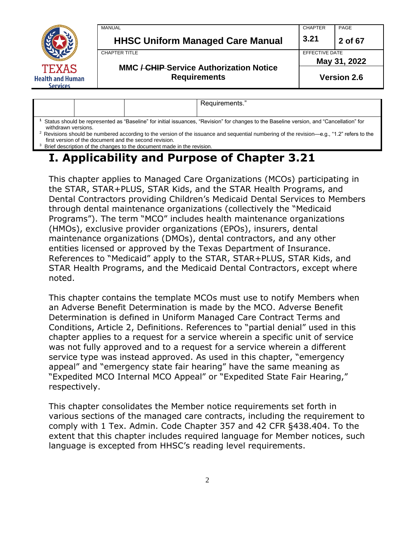

**1** Status should be represented as "Baseline" for initial issuances, "Revision" for changes to the Baseline version, and "Cancellation" for withdrawn versions.

<sup>2</sup> Revisions should be numbered according to the version of the issuance and sequential numbering of the revision—e.g., "1.2" refers to the first version of the document and the second revision.

<sup>3</sup> Brief description of the changes to the document made in the revision.

## **I. Applicability and Purpose of Chapter 3.21**

This chapter applies to Managed Care Organizations (MCOs) participating in the STAR, STAR+PLUS, STAR Kids, and the STAR Health Programs, and Dental Contractors providing Children's Medicaid Dental Services to Members through dental maintenance organizations (collectively the "Medicaid Programs"). The term "MCO" includes health maintenance organizations (HMOs), exclusive provider organizations (EPOs), insurers, dental maintenance organizations (DMOs), dental contractors, and any other entities licensed or approved by the Texas Department of Insurance. References to "Medicaid" apply to the STAR, STAR+PLUS, STAR Kids, and STAR Health Programs, and the Medicaid Dental Contractors, except where noted.

This chapter contains the template MCOs must use to notify Members when an Adverse Benefit Determination is made by the MCO. Adverse Benefit Determination is defined in Uniform Managed Care Contract Terms and Conditions, Article 2, Definitions. References to "partial denial" used in this chapter applies to a request for a service wherein a specific unit of service was not fully approved and to a request for a service wherein a different service type was instead approved. As used in this chapter, "emergency appeal" and "emergency state fair hearing" have the same meaning as "Expedited MCO Internal MCO Appeal" or "Expedited State Fair Hearing," respectively.

This chapter consolidates the Member notice requirements set forth in various sections of the managed care contracts, including the requirement to comply with 1 Tex. Admin. Code Chapter 357 and 42 CFR §438.404. To the extent that this chapter includes required language for Member notices, such language is excepted from HHSC's reading level requirements.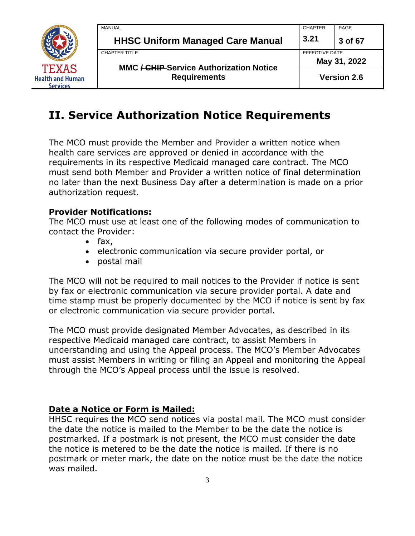

|   | MANUAL                                                                | <b>CHAPTER</b> | PAGE               |
|---|-----------------------------------------------------------------------|----------------|--------------------|
|   | <b>HHSC Uniform Managed Care Manual</b>                               | 3.21           | 3 of 67            |
|   | <b>CHAPTER TITLE</b>                                                  | EFFECTIVE DATE |                    |
|   |                                                                       | May 31, 2022   |                    |
| n | <b>MMC / CHIP Service Authorization Notice</b><br><b>Requirements</b> |                | <b>Version 2.6</b> |

## **II. Service Authorization Notice Requirements**

The MCO must provide the Member and Provider a written notice when health care services are approved or denied in accordance with the requirements in its respective Medicaid managed care contract. The MCO must send both Member and Provider a written notice of final determination no later than the next Business Day after a determination is made on a prior authorization request.

#### **Provider Notifications:**

The MCO must use at least one of the following modes of communication to contact the Provider:

- fax,
- electronic communication via secure provider portal, or
- postal mail

The MCO will not be required to mail notices to the Provider if notice is sent by fax or electronic communication via secure provider portal. A date and time stamp must be properly documented by the MCO if notice is sent by fax or electronic communication via secure provider portal.

The MCO must provide designated Member Advocates, as described in its respective Medicaid managed care contract, to assist Members in understanding and using the Appeal process. The MCO's Member Advocates must assist Members in writing or filing an Appeal and monitoring the Appeal through the MCO's Appeal process until the issue is resolved.

#### **Date a Notice or Form is Mailed:**

HHSC requires the MCO send notices via postal mail. The MCO must consider the date the notice is mailed to the Member to be the date the notice is postmarked. If a postmark is not present, the MCO must consider the date the notice is metered to be the date the notice is mailed. If there is no postmark or meter mark, the date on the notice must be the date the notice was mailed.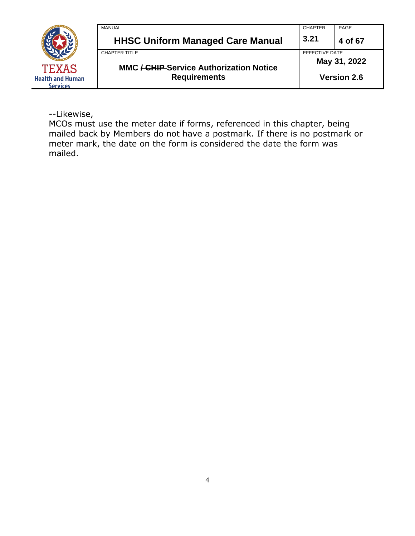

--Likewise,

MCOs must use the meter date if forms, referenced in this chapter, being mailed back by Members do not have a postmark. If there is no postmark or meter mark, the date on the form is considered the date the form was mailed.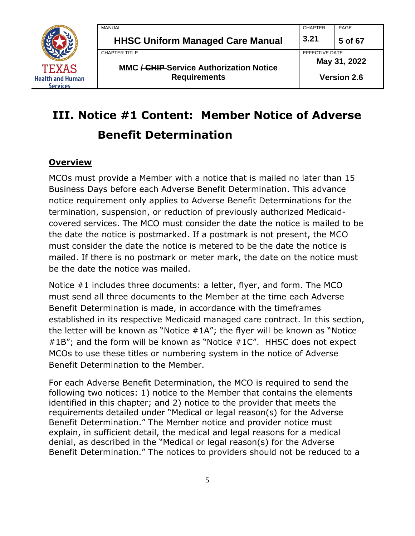

| MANUAL                                                                | <b>CHAPTER</b> | PAGE               |
|-----------------------------------------------------------------------|----------------|--------------------|
| <b>HHSC Uniform Managed Care Manual</b>                               | 3.21           | 5 of 67            |
| CHAPTER TITLE                                                         | EFFECTIVE DATE |                    |
|                                                                       |                | May 31, 2022       |
| <b>MMC / CHIP Service Authorization Notice</b><br><b>Requirements</b> |                | <b>Version 2.6</b> |

# **III. Notice #1 Content: Member Notice of Adverse Benefit Determination**

#### **Overview**

MCOs must provide a Member with a notice that is mailed no later than 15 Business Days before each Adverse Benefit Determination. This advance notice requirement only applies to Adverse Benefit Determinations for the termination, suspension, or reduction of previously authorized Medicaidcovered services. The MCO must consider the date the notice is mailed to be the date the notice is postmarked. If a postmark is not present, the MCO must consider the date the notice is metered to be the date the notice is mailed. If there is no postmark or meter mark, the date on the notice must be the date the notice was mailed.

Notice #1 includes three documents: a letter, flyer, and form. The MCO must send all three documents to the Member at the time each Adverse Benefit Determination is made, in accordance with the timeframes established in its respective Medicaid managed care contract. In this section, the letter will be known as "Notice #1A"; the flyer will be known as "Notice #1B"; and the form will be known as "Notice #1C". HHSC does not expect MCOs to use these titles or numbering system in the notice of Adverse Benefit Determination to the Member.

For each Adverse Benefit Determination, the MCO is required to send the following two notices: 1) notice to the Member that contains the elements identified in this chapter; and 2) notice to the provider that meets the requirements detailed under "Medical or legal reason(s) for the Adverse Benefit Determination." The Member notice and provider notice must explain, in sufficient detail, the medical and legal reasons for a medical denial, as described in the "Medical or legal reason(s) for the Adverse Benefit Determination." The notices to providers should not be reduced to a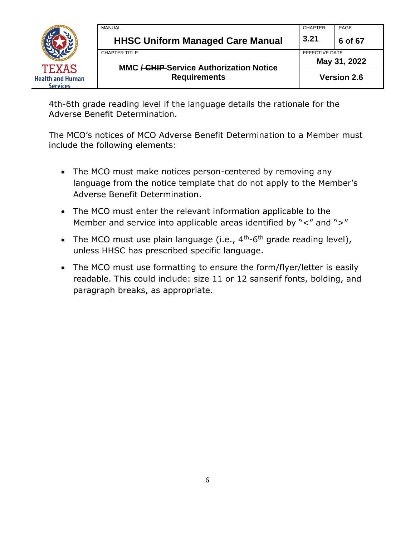

| MANUAL                                         | <b>CHAPTER</b>                 | PAGE    |  |
|------------------------------------------------|--------------------------------|---------|--|
| <b>HHSC Uniform Managed Care Manual</b>        | 3.21                           | 6 of 67 |  |
| CHAPTER TITLE                                  | EFFECTIVE DATE<br>May 31, 2022 |         |  |
| <b>MMC / CHIP Service Authorization Notice</b> |                                |         |  |
| <b>Requirements</b>                            | <b>Version 2.6</b>             |         |  |

4th-6th grade reading level if the language details the rationale for the Adverse Benefit Determination.

The MCO's notices of MCO Adverse Benefit Determination to a Member must include the following elements:

- The MCO must make notices person-centered by removing any language from the notice template that do not apply to the Member's Adverse Benefit Determination.
- The MCO must enter the relevant information applicable to the Member and service into applicable areas identified by "<" and ">"
- The MCO must use plain language (i.e.,  $4<sup>th</sup>$ -6<sup>th</sup> grade reading level), unless HHSC has prescribed specific language.
- The MCO must use formatting to ensure the form/flyer/letter is easily readable. This could include: size 11 or 12 sanserif fonts, bolding, and paragraph breaks, as appropriate.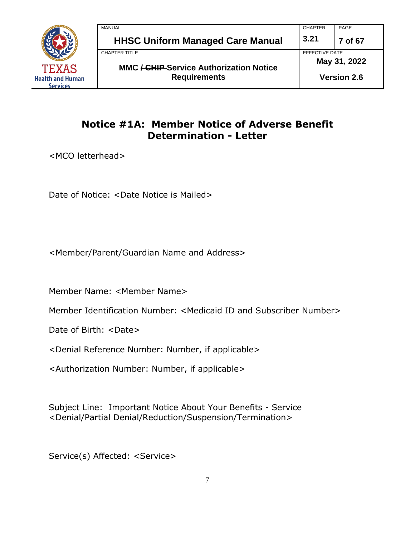

| MANUAL                                                                | <b>CHAPTER</b> | PAGE               |
|-----------------------------------------------------------------------|----------------|--------------------|
| <b>HHSC Uniform Managed Care Manual</b>                               | 3.21           | 7 of 67            |
| CHAPTER TITLE                                                         | EFFECTIVE DATE |                    |
|                                                                       |                | May 31, 2022       |
| <b>MMC / CHIP Service Authorization Notice</b><br><b>Requirements</b> |                | <b>Version 2.6</b> |

## **Notice #1A: Member Notice of Adverse Benefit Determination - Letter**

<MCO letterhead>

Date of Notice: <Date Notice is Mailed>

<Member/Parent/Guardian Name and Address>

Member Name: <Member Name>

Member Identification Number: <Medicaid ID and Subscriber Number>

Date of Birth: <Date>

<Denial Reference Number: Number, if applicable>

<Authorization Number: Number, if applicable>

Subject Line: Important Notice About Your Benefits - Service <Denial/Partial Denial/Reduction/Suspension/Termination>

Service(s) Affected: <Service>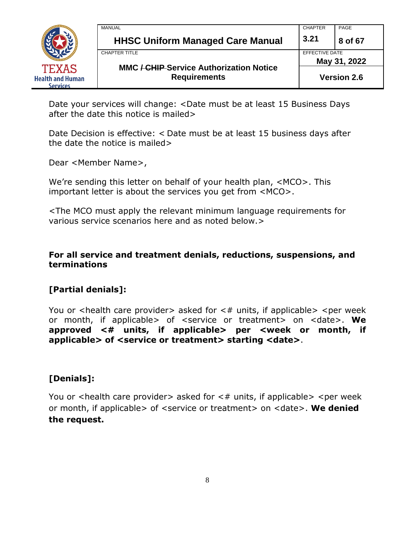

| <b>MANUAL</b>                                                         | <b>CHAPTER</b> | PAGE               |
|-----------------------------------------------------------------------|----------------|--------------------|
| <b>HHSC Uniform Managed Care Manual</b>                               | 3.21           | 8 of 67            |
| <b>CHAPTER TITLE</b>                                                  | EFFECTIVE DATE |                    |
|                                                                       | May 31, 2022   |                    |
| <b>MMC / CHIP Service Authorization Notice</b><br><b>Requirements</b> |                | <b>Version 2.6</b> |

Date your services will change: <Date must be at least 15 Business Days after the date this notice is mailed>

Date Decision is effective: < Date must be at least 15 business days after the date the notice is mailed>

Dear <Member Name>,

We're sending this letter on behalf of your health plan, <MCO>. This important letter is about the services you get from <MCO>.

<The MCO must apply the relevant minimum language requirements for various service scenarios here and as noted below.>

**For all service and treatment denials, reductions, suspensions, and terminations**

#### **[Partial denials]:**

You or  $\alpha$  -health care provider asked for  $\alpha$  units, if applicable  $\alpha$  -per week or month, if applicable> of <service or treatment> on <date>. **We approved <# units, if applicable> per <week or month, if applicable> of <service or treatment> starting <date>**.

#### **[Denials]:**

You or  $\alpha$  -health care provider asked for  $\alpha$  units, if applicable  $\alpha$  -per week or month, if applicable> of <service or treatment> on <date>. **We denied the request.**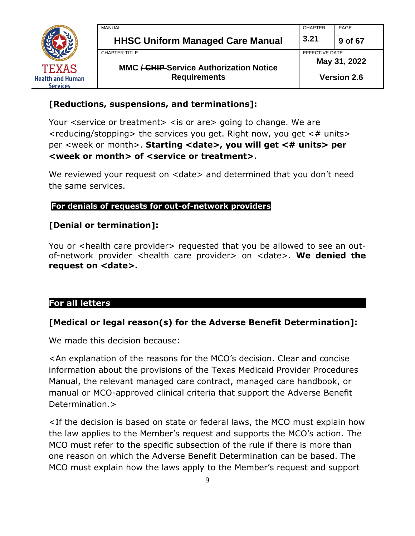

| MANUAL                                                                | <b>CHAPTER</b> | PAGE               |  |
|-----------------------------------------------------------------------|----------------|--------------------|--|
| <b>HHSC Uniform Managed Care Manual</b>                               | 3.21           | 9 of 67            |  |
| CHAPTER TITLE                                                         |                | EFFECTIVE DATE     |  |
|                                                                       |                | May 31, 2022       |  |
| <b>MMC / CHIP Service Authorization Notice</b><br><b>Requirements</b> |                | <b>Version 2.6</b> |  |

#### **[Reductions, suspensions, and terminations]:**

Your <service or treatment> < is or are> going to change. We are  $\le$  reducing/stopping  $>$  the services you get. Right now, you get  $\leq \#$  units  $>$ per <week or month>. **Starting <date>, you will get <# units> per <week or month> of <service or treatment>.** 

We reviewed your request on <date> and determined that you don't need the same services.

#### **For denials of requests for out-of-network providers**

#### **[Denial or termination]:**

You or <health care provider> requested that you be allowed to see an outof-network provider <health care provider> on <date>. **We denied the request on <date>.**

#### **For all letters**

#### **[Medical or legal reason(s) for the Adverse Benefit Determination]:**

We made this decision because:

<An explanation of the reasons for the MCO's decision. Clear and concise information about the provisions of the Texas Medicaid Provider Procedures Manual, the relevant managed care contract, managed care handbook, or manual or MCO-approved clinical criteria that support the Adverse Benefit Determination.>

<If the decision is based on state or federal laws, the MCO must explain how the law applies to the Member's request and supports the MCO's action. The MCO must refer to the specific subsection of the rule if there is more than one reason on which the Adverse Benefit Determination can be based. The MCO must explain how the laws apply to the Member's request and support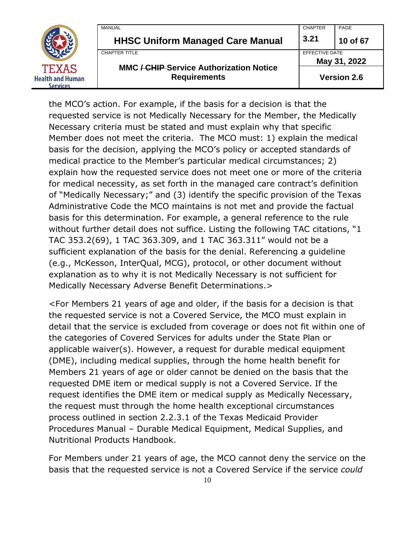

the MCO's action. For example, if the basis for a decision is that the requested service is not Medically Necessary for the Member, the Medically Necessary criteria must be stated and must explain why that specific Member does not meet the criteria. The MCO must: 1) explain the medical basis for the decision, applying the MCO's policy or accepted standards of medical practice to the Member's particular medical circumstances; 2) explain how the requested service does not meet one or more of the criteria for medical necessity, as set forth in the managed care contract's definition of "Medically Necessary;" and (3) identify the specific provision of the Texas Administrative Code the MCO maintains is not met and provide the factual basis for this determination. For example, a general reference to the rule without further detail does not suffice. Listing the following TAC citations, "1 TAC 353.2(69), 1 TAC 363.309, and 1 TAC 363.311" would not be a sufficient explanation of the basis for the denial. Referencing a guideline (e.g., McKesson, InterQual, MCG), protocol, or other document without explanation as to why it is not Medically Necessary is not sufficient for Medically Necessary Adverse Benefit Determinations.>

<For Members 21 years of age and older, if the basis for a decision is that the requested service is not a Covered Service, the MCO must explain in detail that the service is excluded from coverage or does not fit within one of the categories of Covered Services for adults under the State Plan or applicable waiver(s). However, a request for durable medical equipment (DME), including medical supplies, through the home health benefit for Members 21 years of age or older cannot be denied on the basis that the requested DME item or medical supply is not a Covered Service. If the request identifies the DME item or medical supply as Medically Necessary, the request must through the home health exceptional circumstances process outlined in section 2.2.3.1 of the Texas Medicaid Provider Procedures Manual – Durable Medical Equipment, Medical Supplies, and Nutritional Products Handbook.

For Members under 21 years of age, the MCO cannot deny the service on the basis that the requested service is not a Covered Service if the service *could*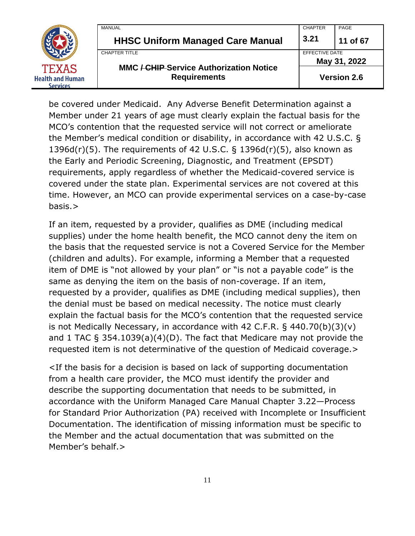|                                            | MANUAL                                         | <b>CHAPTER</b> | PAGE               |
|--------------------------------------------|------------------------------------------------|----------------|--------------------|
|                                            | <b>HHSC Uniform Managed Care Manual</b>        | 3.21           | 11 of 67           |
|                                            | <b>CHAPTER TITLE</b>                           | EFFECTIVE DATE | May 31, 2022       |
| <b>TEXAS</b>                               | <b>MMC / CHIP Service Authorization Notice</b> |                |                    |
| <b>Health and Human</b><br><b>Services</b> | <b>Requirements</b>                            |                | <b>Version 2.6</b> |

be covered under Medicaid. Any Adverse Benefit Determination against a Member under 21 years of age must clearly explain the factual basis for the MCO's contention that the requested service will not correct or ameliorate the Member's medical condition or disability, in accordance with 42 U.S.C. § 1396d(r)(5). The requirements of 42 U.S.C. § 1396d(r)(5), also known as the Early and Periodic Screening, Diagnostic, and Treatment (EPSDT) requirements, apply regardless of whether the Medicaid-covered service is covered under the state plan. Experimental services are not covered at this time. However, an MCO can provide experimental services on a case-by-case basis.>

If an item, requested by a provider, qualifies as DME (including medical supplies) under the home health benefit, the MCO cannot deny the item on the basis that the requested service is not a Covered Service for the Member (children and adults). For example, informing a Member that a requested item of DME is "not allowed by your plan" or "is not a payable code" is the same as denying the item on the basis of non-coverage. If an item, requested by a provider, qualifies as DME (including medical supplies), then the denial must be based on medical necessity. The notice must clearly explain the factual basis for the MCO's contention that the requested service is not Medically Necessary, in accordance with 42 C.F.R.  $\S$  440.70(b)(3)(v) and 1 TAC § 354.1039(a)(4)(D). The fact that Medicare may not provide the requested item is not determinative of the question of Medicaid coverage.>

<If the basis for a decision is based on lack of supporting documentation from a health care provider, the MCO must identify the provider and describe the supporting documentation that needs to be submitted, in accordance with the Uniform Managed Care Manual Chapter 3.22—Process for Standard Prior Authorization (PA) received with Incomplete or Insufficient Documentation. The identification of missing information must be specific to the Member and the actual documentation that was submitted on the Member's behalf.>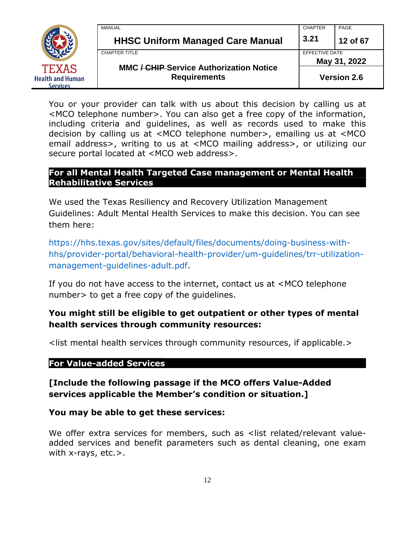

MANUAL CHAPTER PAGE **HHSC Uniform Managed Care Manual 3.21 12 of 67** CHAPTER TITLE **EFFECTIVE DATE MMC / CHIP Service Authorization Notice May 31, 2022 Version 2.6**

You or your provider can talk with us about this decision by calling us at <MCO telephone number>. You can also get a free copy of the information, including criteria and guidelines, as well as records used to make this decision by calling us at <MCO telephone number>, emailing us at <MCO email address>, writing to us at <MCO mailing address>, or utilizing our secure portal located at <MCO web address>.

#### **For all Mental Health Targeted Case management or Mental Health Rehabilitative Services**

We used the Texas Resiliency and Recovery Utilization Management Guidelines: Adult Mental Health Services to make this decision. You can see them here:

[https://hhs.texas.gov/sites/default/files/documents/doing-business-with](https://hhs.texas.gov/sites/default/files/documents/doing-business-with-hhs/provider-portal/behavioral-health-provider/um-guidelines/trr-utilization-management-guidelines-adult.pdf)[hhs/provider-portal/behavioral-health-provider/um-guidelines/trr-utilization](https://hhs.texas.gov/sites/default/files/documents/doing-business-with-hhs/provider-portal/behavioral-health-provider/um-guidelines/trr-utilization-management-guidelines-adult.pdf)[management-guidelines-adult.pdf.](https://hhs.texas.gov/sites/default/files/documents/doing-business-with-hhs/provider-portal/behavioral-health-provider/um-guidelines/trr-utilization-management-guidelines-adult.pdf)

If you do not have access to the internet, contact us at <MCO telephone number> to get a free copy of the guidelines.

## **You might still be eligible to get outpatient or other types of mental health services through community resources:**

<list mental health services through community resources, if applicable.>

#### **For Value-added Services**

**[Include the following passage if the MCO offers Value-Added services applicable the Member's condition or situation.]**

**You may be able to get these services:**

We offer extra services for members, such as <list related/relevant valueadded services and benefit parameters such as dental cleaning, one exam with  $x$ -rays, etc. $>$ .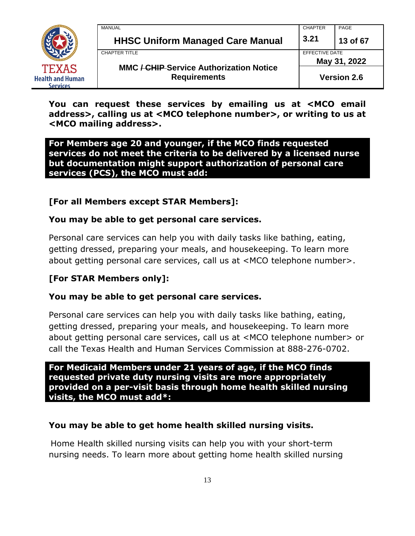

| MANUAL                                                                | <b>CHAPTER</b> | PAGE               |  |
|-----------------------------------------------------------------------|----------------|--------------------|--|
| <b>HHSC Uniform Managed Care Manual</b>                               | 3.21           | 13 of 67           |  |
| CHAPTER TITLE                                                         |                | EFFECTIVE DATE     |  |
|                                                                       |                | May 31, 2022       |  |
| <b>MMC / CHIP Service Authorization Notice</b><br><b>Requirements</b> |                | <b>Version 2.6</b> |  |

**You can request these services by emailing us at <MCO email address>, calling us at <MCO telephone number>, or writing to us at <MCO mailing address>.**

#### **For Members age 20 and younger, if the MCO finds requested services do not meet the criteria to be delivered by a licensed nurse but documentation might support authorization of personal care services (PCS), the MCO must add:**

## **[For all Members except STAR Members]:**

#### **You may be able to get personal care services.**

Personal care services can help you with daily tasks like bathing, eating, getting dressed, preparing your meals, and housekeeping. To learn more about getting personal care services, call us at <MCO telephone number>.

#### **[For STAR Members only]:**

#### **You may be able to get personal care services.**

Personal care services can help you with daily tasks like bathing, eating, getting dressed, preparing your meals, and housekeeping. To learn more about getting personal care services, call us at <MCO telephone number> or call the Texas Health and Human Services Commission at 888-276-0702.

**For Medicaid Members under 21 years of age, if the MCO finds requested private duty nursing visits are more appropriately provided on a per-visit basis through home health skilled nursing visits, the MCO must add\*:**

#### **You may be able to get home health skilled nursing visits.**

Home Health skilled nursing visits can help you with your short-term nursing needs. To learn more about getting home health skilled nursing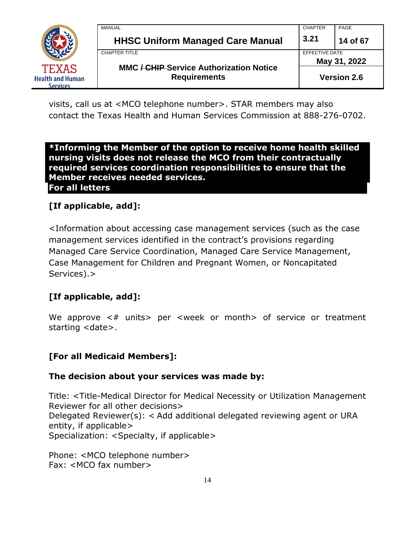

| MANUAL                                                                | <b>CHAPTER</b>                 | PAGE               |
|-----------------------------------------------------------------------|--------------------------------|--------------------|
| <b>HHSC Uniform Managed Care Manual</b>                               | 3.21                           | 14 of 67           |
| CHAPTER TITLE                                                         | EFFECTIVE DATE<br>May 31, 2022 |                    |
| <b>MMC / CHIP Service Authorization Notice</b><br><b>Requirements</b> |                                | <b>Version 2.6</b> |

visits, call us at <MCO telephone number>. STAR members may also contact the Texas Health and Human Services Commission at 888-276-0702.

**\*Informing the Member of the option to receive home health skilled nursing visits does not release the MCO from their contractually required services coordination responsibilities to ensure that the Member receives needed services. For all letters**

## **[If applicable, add]:**

<Information about accessing case management services (such as the case management services identified in the contract's provisions regarding Managed Care Service Coordination, Managed Care Service Management, Case Management for Children and Pregnant Women, or Noncapitated Services).>

## **[If applicable, add]:**

We approve  $\lt\#$  units per  $\lt$ week or month of service or treatment starting <date>.

#### **[For all Medicaid Members]:**

#### **The decision about your services was made by:**

Title: <Title-Medical Director for Medical Necessity or Utilization Management Reviewer for all other decisions> Delegated Reviewer(s): < Add additional delegated reviewing agent or URA entity, if applicable> Specialization: <Specialty, if applicable>

Phone: <MCO telephone number> Fax: <MCO fax number>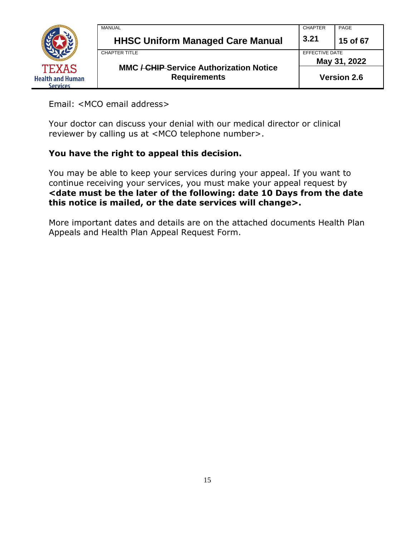

Email: <MCO email address>

Your doctor can discuss your denial with our medical director or clinical reviewer by calling us at <MCO telephone number>.

#### **You have the right to appeal this decision.**

You may be able to keep your services during your appeal. If you want to continue receiving your services, you must make your appeal request by **<date must be the later of the following: date 10 Days from the date this notice is mailed, or the date services will change>.**

More important dates and details are on the attached documents Health Plan Appeals and Health Plan Appeal Request Form.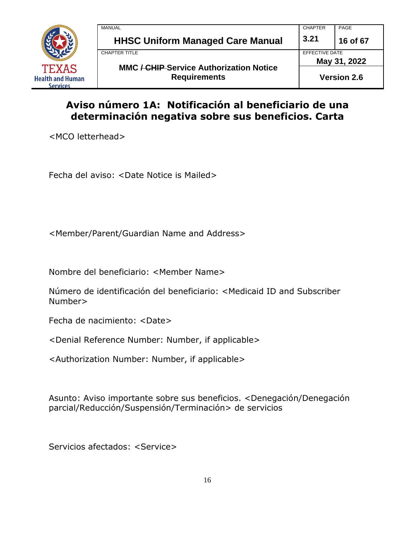

| <b>MANUAL</b>                                                         | <b>CHAPTER</b> | PAGE               |
|-----------------------------------------------------------------------|----------------|--------------------|
| <b>HHSC Uniform Managed Care Manual</b>                               | 3.21           | 16 of 67           |
| <b>CHAPTER TITLE</b>                                                  | EFFECTIVE DATE |                    |
|                                                                       |                | May 31, 2022       |
| <b>MMC / CHIP Service Authorization Notice</b><br><b>Requirements</b> |                | <b>Version 2.6</b> |

## **Aviso número 1A: Notificación al beneficiario de una determinación negativa sobre sus beneficios. Carta**

<MCO letterhead>

Fecha del aviso: <Date Notice is Mailed>

<Member/Parent/Guardian Name and Address>

Nombre del beneficiario: <Member Name>

Número de identificación del beneficiario: <Medicaid ID and Subscriber Number>

Fecha de nacimiento: <Date>

<Denial Reference Number: Number, if applicable>

<Authorization Number: Number, if applicable>

Asunto: Aviso importante sobre sus beneficios. <Denegación/Denegación parcial/Reducción/Suspensión/Terminación> de servicios

Servicios afectados: <Service>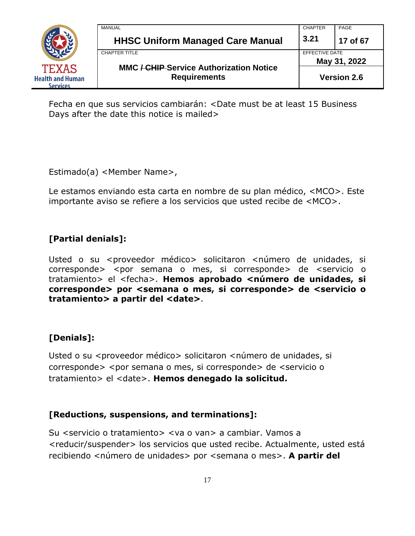

| MANUAL                                                                           | <b>CHAPTER</b> | PAGE                           |  |
|----------------------------------------------------------------------------------|----------------|--------------------------------|--|
| <b>HHSC Uniform Managed Care Manual</b>                                          | 3.21           | 17 of 67                       |  |
| CHAPTER TITLE                                                                    |                | EFFECTIVE DATE<br>May 31, 2022 |  |
| <b>MMC <del>/ CHIP</del>-Service Authorization Notice</b><br><b>Requirements</b> |                | <b>Version 2.6</b>             |  |

Fecha en que sus servicios cambiarán: <Date must be at least 15 Business Days after the date this notice is mailed>

Estimado(a) <Member Name>,

Le estamos enviando esta carta en nombre de su plan médico, <MCO>. Este importante aviso se refiere a los servicios que usted recibe de <MCO>.

## **[Partial denials]:**

Usted o su <proveedor médico> solicitaron <número de unidades, si corresponde> <por semana o mes, si corresponde> de <servicio o tratamiento> el <fecha>. Hemos aprobado <número de unidades, si **corresponde> por <semana o mes, si corresponde> de <servicio o tratamiento> a partir del <date>**.

## **[Denials]:**

Usted o su <proveedor médico> solicitaron <número de unidades, si corresponde> <por semana o mes, si corresponde> de <servicio o tratamiento> el <date>. **Hemos denegado la solicitud.**

#### **[Reductions, suspensions, and terminations]:**

Su <servicio o tratamiento> <va o van> a cambiar. Vamos a <reducir/suspender> los servicios que usted recibe. Actualmente, usted está recibiendo <número de unidades> por <semana o mes>. **A partir del**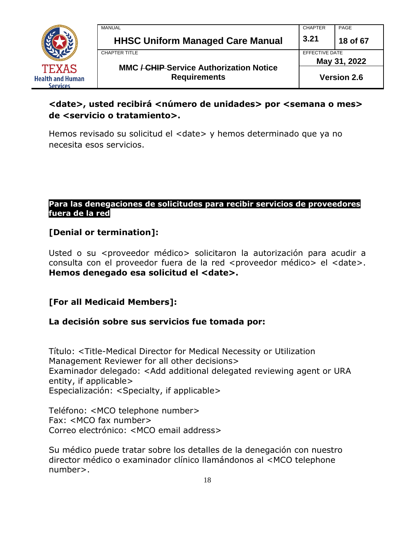

| MANUAL                                         | <b>CHAPTER</b>                 | PAGE     |
|------------------------------------------------|--------------------------------|----------|
| <b>HHSC Uniform Managed Care Manual</b>        | 3.21                           | 18 of 67 |
| <b>CHAPTER TITLE</b>                           | EFFECTIVE DATE<br>May 31, 2022 |          |
| <b>MMC / CHIP Service Authorization Notice</b> |                                |          |
| <b>Requirements</b>                            | <b>Version 2.6</b>             |          |

## **<date>, usted recibirá <número de unidades> por <semana o mes> de <servicio o tratamiento>.**

Hemos revisado su solicitud el <date> y hemos determinado que ya no necesita esos servicios.

#### **Para las denegaciones de solicitudes para recibir servicios de proveedores fuera de la red**

## **[Denial or termination]:**

Usted o su <proveedor médico> solicitaron la autorización para acudir a consulta con el proveedor fuera de la red <proveedor médico> el <date>. **Hemos denegado esa solicitud el <date>.**

#### **[For all Medicaid Members]:**

#### **La decisión sobre sus servicios fue tomada por:**

Título: <Title-Medical Director for Medical Necessity or Utilization Management Reviewer for all other decisions> Examinador delegado: <Add additional delegated reviewing agent or URA entity, if applicable> Especialización: <Specialty, if applicable>

Teléfono: <MCO telephone number> Fax: <MCO fax number> Correo electrónico: <MCO email address>

Su médico puede tratar sobre los detalles de la denegación con nuestro director médico o examinador clínico llamándonos al <MCO telephone number>.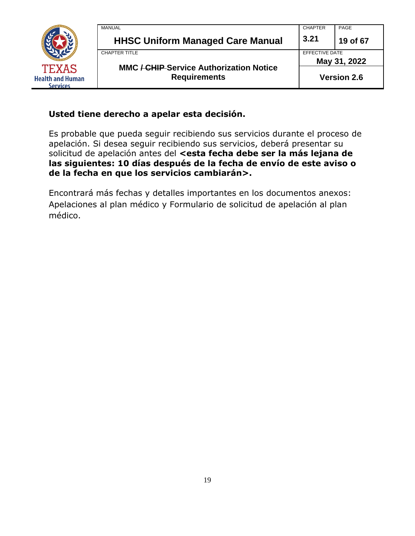

| MANUAL              |                                                | <b>CHAPTER</b> | PAGE                           |  |
|---------------------|------------------------------------------------|----------------|--------------------------------|--|
|                     | <b>HHSC Uniform Managed Care Manual</b>        | 3.21           | 19 of 67                       |  |
| CHAPTER TITLE       |                                                |                | EFFECTIVE DATE<br>May 31, 2022 |  |
|                     | <b>MMC / CHIP Service Authorization Notice</b> |                |                                |  |
| <b>Requirements</b> |                                                |                | <b>Version 2.6</b>             |  |

#### **Usted tiene derecho a apelar esta decisión.**

Es probable que pueda seguir recibiendo sus servicios durante el proceso de apelación. Si desea seguir recibiendo sus servicios, deberá presentar su solicitud de apelación antes del <esta fecha debe ser la más lejana de **las siguientes: 10 días después de la fecha de envío de este aviso o de la fecha en que los servicios cambiarán>.**

Encontrará más fechas y detalles importantes en los documentos anexos: Apelaciones al plan médico y Formulario de solicitud de apelación al plan médico.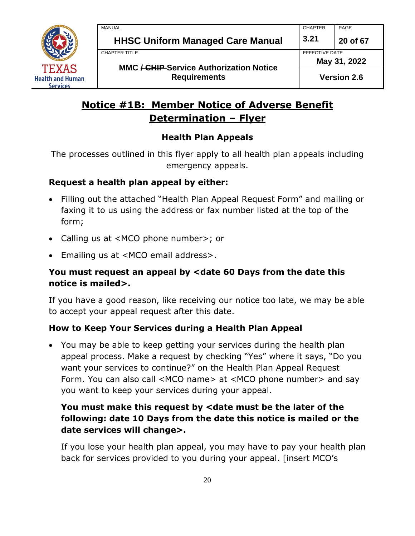

## **Notice #1B: Member Notice of Adverse Benefit Determination – Flyer**

## **Health Plan Appeals**

The processes outlined in this flyer apply to all health plan appeals including emergency appeals.

#### **Request a health plan appeal by either:**

- Filling out the attached "Health Plan Appeal Request Form" and mailing or faxing it to us using the address or fax number listed at the top of the form;
- Calling us at <MCO phone number>; or
- Emailing us at <MCO email address>.

## **You must request an appeal by <date 60 Days from the date this notice is mailed>.**

If you have a good reason, like receiving our notice too late, we may be able to accept your appeal request after this date.

#### **How to Keep Your Services during a Health Plan Appeal**

• You may be able to keep getting your services during the health plan appeal process. Make a request by checking "Yes" where it says, "Do you want your services to continue?" on the Health Plan Appeal Request Form. You can also call <MCO name> at <MCO phone number> and say you want to keep your services during your appeal.

## **You must make this request by <date must be the later of the following: date 10 Days from the date this notice is mailed or the date services will change>.**

If you lose your health plan appeal, you may have to pay your health plan back for services provided to you during your appeal. [insert MCO's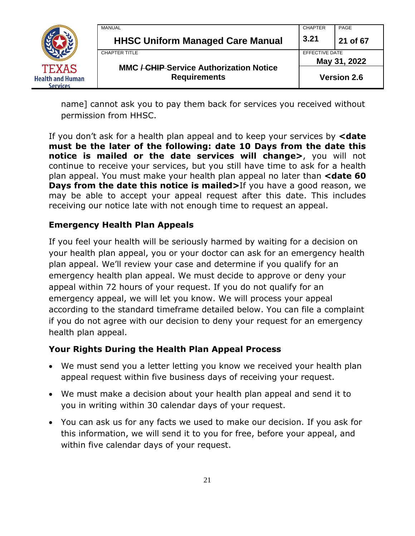

| MANUAL                                                                | <b>CHAPTER</b>     | PAGE                           |  |
|-----------------------------------------------------------------------|--------------------|--------------------------------|--|
| <b>HHSC Uniform Managed Care Manual</b>                               | 3.21               | 21 of 67                       |  |
| CHAPTER TITLE                                                         |                    | EFFECTIVE DATE<br>May 31, 2022 |  |
| <b>MMC / CHIP Service Authorization Notice</b><br><b>Requirements</b> | <b>Version 2.6</b> |                                |  |

name] cannot ask you to pay them back for services you received without permission from HHSC.

If you don't ask for a health plan appeal and to keep your services by **<date must be the later of the following: date 10 Days from the date this notice is mailed or the date services will change>**, you will not continue to receive your services, but you still have time to ask for a health plan appeal. You must make your health plan appeal no later than **<date 60 Days from the date this notice is mailed>**If you have a good reason, we may be able to accept your appeal request after this date. This includes receiving our notice late with not enough time to request an appeal.

## **Emergency Health Plan Appeals**

If you feel your health will be seriously harmed by waiting for a decision on your health plan appeal, you or your doctor can ask for an emergency health plan appeal. We'll review your case and determine if you qualify for an emergency health plan appeal. We must decide to approve or deny your appeal within 72 hours of your request. If you do not qualify for an emergency appeal, we will let you know. We will process your appeal according to the standard timeframe detailed below. You can file a complaint if you do not agree with our decision to deny your request for an emergency health plan appeal.

#### **Your Rights During the Health Plan Appeal Process**

- We must send you a letter letting you know we received your health plan appeal request within five business days of receiving your request.
- We must make a decision about your health plan appeal and send it to you in writing within 30 calendar days of your request.
- You can ask us for any facts we used to make our decision. If you ask for this information, we will send it to you for free, before your appeal, and within five calendar days of your request.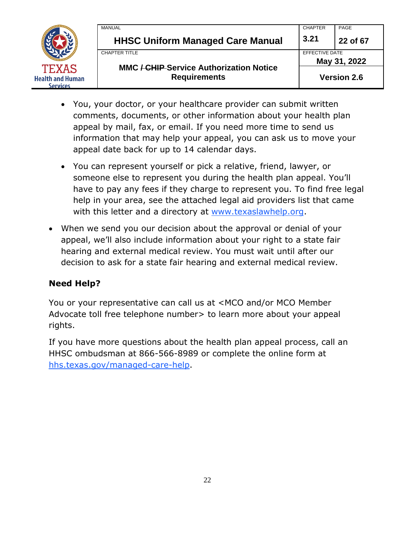

| MANUAL                                         | <b>CHAPTER</b>                 | PAGE     |
|------------------------------------------------|--------------------------------|----------|
| <b>HHSC Uniform Managed Care Manual</b>        | 3.21                           | 22 of 67 |
| CHAPTER TITLE                                  | EFFECTIVE DATE<br>May 31, 2022 |          |
| <b>MMC / CHIP Service Authorization Notice</b> |                                |          |
| <b>Requirements</b>                            | <b>Version 2.6</b>             |          |

- You, your doctor, or your healthcare provider can submit written comments, documents, or other information about your health plan appeal by mail, fax, or email. If you need more time to send us information that may help your appeal, you can ask us to move your appeal date back for up to 14 calendar days.
- You can represent yourself or pick a relative, friend, lawyer, or someone else to represent you during the health plan appeal. You'll have to pay any fees if they charge to represent you. To find free legal help in your area, see the attached legal aid providers list that came with this letter and a directory at [www.texaslawhelp.org.](http://www.texaslawhelp.org/)
- When we send you our decision about the approval or denial of your appeal, we'll also include information about your right to a state fair hearing and external medical review. You must wait until after our decision to ask for a state fair hearing and external medical review.

#### **Need Help?**

You or your representative can call us at <MCO and/or MCO Member Advocate toll free telephone number> to learn more about your appeal rights.

If you have more questions about the health plan appeal process, call an HHSC ombudsman at 866-566-8989 or complete the online form at [hhs.texas.gov/managed-care-help.](https://hhs.texas.gov/managed-care-help)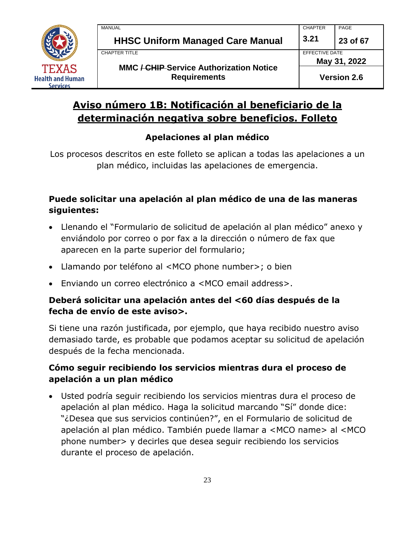

## **Aviso número 1B: Notificación al beneficiario de la determinación negativa sobre beneficios. Folleto**

## **Apelaciones al plan médico**

Los procesos descritos en este folleto se aplican a todas las apelaciones a un plan médico, incluidas las apelaciones de emergencia.

## **Puede solicitar una apelación al plan médico de una de las maneras siguientes:**

- Llenando el "Formulario de solicitud de apelación al plan médico" anexo y enviándolo por correo o por fax a la dirección o número de fax que aparecen en la parte superior del formulario;
- Llamando por teléfono al <MCO phone number>; o bien
- Enviando un correo electrónico a <MCO email address>.

## **Deberá solicitar una apelación antes del <60 días después de la fecha de envío de este aviso>.**

Si tiene una razón justificada, por ejemplo, que haya recibido nuestro aviso demasiado tarde, es probable que podamos aceptar su solicitud de apelación después de la fecha mencionada.

## **Cómo seguir recibiendo los servicios mientras dura el proceso de apelación a un plan médico**

• Usted podría seguir recibiendo los servicios mientras dura el proceso de apelación al plan médico. Haga la solicitud marcando "Sí" donde dice: "¿Desea que sus servicios continúen?", en el Formulario de solicitud de apelación al plan médico. También puede llamar a <MCO name> al <MCO phone number> y decirles que desea seguir recibiendo los servicios durante el proceso de apelación.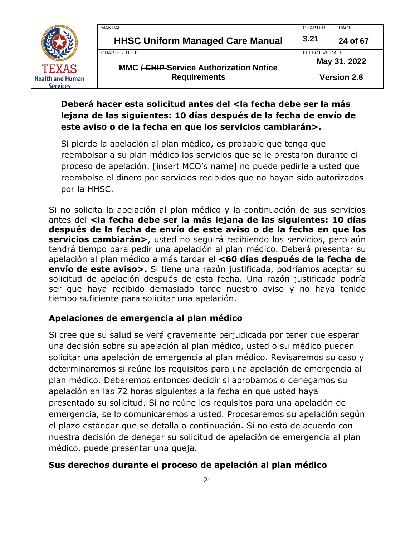

| MANUAL                                                                | <b>CHAPTER</b> | PAGE               |
|-----------------------------------------------------------------------|----------------|--------------------|
| <b>HHSC Uniform Managed Care Manual</b>                               | 3.21           | 24 of 67           |
| CHAPTER TITLE                                                         | EFFECTIVE DATE |                    |
|                                                                       |                | May 31, 2022       |
| <b>MMC / CHIP Service Authorization Notice</b><br><b>Requirements</b> |                | <b>Version 2.6</b> |

## **Deberá hacer esta solicitud antes del <la fecha debe ser la más lejana de las siguientes: 10 días después de la fecha de envío de este aviso o de la fecha en que los servicios cambiarán>.**

Si pierde la apelación al plan médico, es probable que tenga que reembolsar a su plan médico los servicios que se le prestaron durante el proceso de apelación. [insert MCO's name] no puede pedirle a usted que reembolse el dinero por servicios recibidos que no hayan sido autorizados por la HHSC.

Si no solicita la apelación al plan médico y la continuación de sus servicios antes del **<la fecha debe ser la más lejana de las siguientes: 10 días después de la fecha de envío de este aviso o de la fecha en que los servicios cambiarán>**, usted no seguirá recibiendo los servicios, pero aún tendrá tiempo para pedir una apelación al plan médico. Deberá presentar su apelación al plan médico a más tardar el **<60 días después de la fecha de envío de este aviso>.** Si tiene una razón justificada, podríamos aceptar su solicitud de apelación después de esta fecha. Una razón justificada podría ser que haya recibido demasiado tarde nuestro aviso y no haya tenido tiempo suficiente para solicitar una apelación.

## **Apelaciones de emergencia al plan médico**

Si cree que su salud se verá gravemente perjudicada por tener que esperar una decisión sobre su apelación al plan médico, usted o su médico pueden solicitar una apelación de emergencia al plan médico. Revisaremos su caso y determinaremos si reúne los requisitos para una apelación de emergencia al plan médico. Deberemos entonces decidir si aprobamos o denegamos su apelación en las 72 horas siguientes a la fecha en que usted haya presentado su solicitud. Si no reúne los requisitos para una apelación de emergencia, se lo comunicaremos a usted. Procesaremos su apelación según el plazo estándar que se detalla a continuación. Si no está de acuerdo con nuestra decisión de denegar su solicitud de apelación de emergencia al plan médico, puede presentar una queja.

#### **Sus derechos durante el proceso de apelación al plan médico**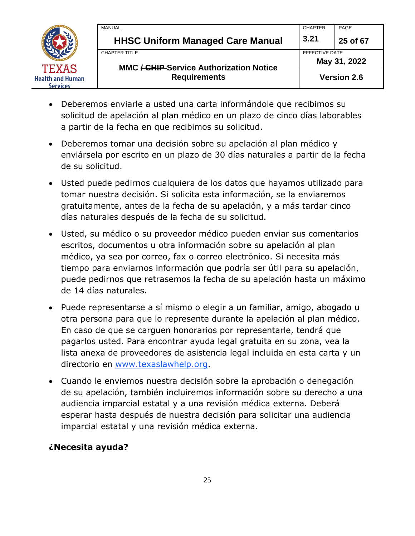

| MANUAL                                                                | <b>CHAPTER</b>                 | PAGE     |
|-----------------------------------------------------------------------|--------------------------------|----------|
| <b>HHSC Uniform Managed Care Manual</b>                               | 3.21                           | 25 of 67 |
| <b>CHAPTER TITLE</b>                                                  | EFFECTIVE DATE<br>May 31, 2022 |          |
| <b>MMC / CHIP Service Authorization Notice</b><br><b>Requirements</b> | <b>Version 2.6</b>             |          |

- Deberemos enviarle a usted una carta informándole que recibimos su solicitud de apelación al plan médico en un plazo de cinco días laborables a partir de la fecha en que recibimos su solicitud.
- Deberemos tomar una decisión sobre su apelación al plan médico y enviársela por escrito en un plazo de 30 días naturales a partir de la fecha de su solicitud.
- Usted puede pedirnos cualquiera de los datos que hayamos utilizado para tomar nuestra decisión. Si solicita esta información, se la enviaremos gratuitamente, antes de la fecha de su apelación, y a más tardar cinco días naturales después de la fecha de su solicitud.
- Usted, su médico o su proveedor médico pueden enviar sus comentarios escritos, documentos u otra información sobre su apelación al plan médico, ya sea por correo, fax o correo electrónico. Si necesita más tiempo para enviarnos información que podría ser útil para su apelación, puede pedirnos que retrasemos la fecha de su apelación hasta un máximo de 14 días naturales.
- Puede representarse a sí mismo o elegir a un familiar, amigo, abogado u otra persona para que lo represente durante la apelación al plan médico. En caso de que se carguen honorarios por representarle, tendrá que pagarlos usted. Para encontrar ayuda legal gratuita en su zona, vea la lista anexa de proveedores de asistencia legal incluida en esta carta y un directorio en [www.texaslawhelp.org.](http://www.texaslawhelp.org/)
- Cuando le enviemos nuestra decisión sobre la aprobación o denegación de su apelación, también incluiremos información sobre su derecho a una audiencia imparcial estatal y a una revisión médica externa. Deberá esperar hasta después de nuestra decisión para solicitar una audiencia imparcial estatal y una revisión médica externa.

#### **¿Necesita ayuda?**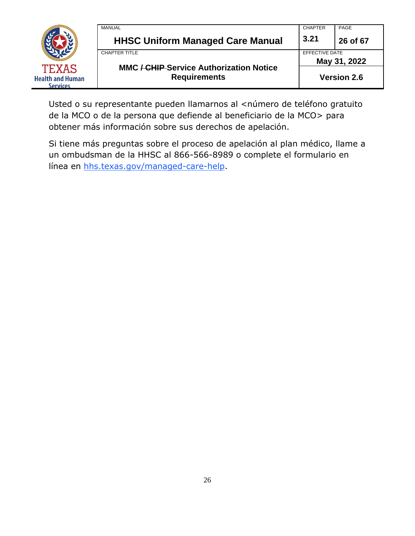|                                                            | MANUAL<br><b>HHSC Uniform Managed Care Manual</b>                     | <b>CHAPTER</b><br>3.21         | PAGE<br>26 of 67   |
|------------------------------------------------------------|-----------------------------------------------------------------------|--------------------------------|--------------------|
|                                                            | CHAPTER TITLE                                                         | EFFECTIVE DATE<br>May 31, 2022 |                    |
| <b>TEXAS</b><br><b>Health and Human</b><br><b>Services</b> | <b>MMC / CHIP Service Authorization Notice</b><br><b>Requirements</b> |                                | <b>Version 2.6</b> |

Usted o su representante pueden llamarnos al <número de teléfono gratuito de la MCO o de la persona que defiende al beneficiario de la MCO> para obtener más información sobre sus derechos de apelación.

Si tiene más preguntas sobre el proceso de apelación al plan médico, llame a un ombudsman de la HHSC al 866-566-8989 o complete el formulario en línea en [hhs.texas.gov/managed-care-help.](https://hhs.texas.gov/managed-care-help)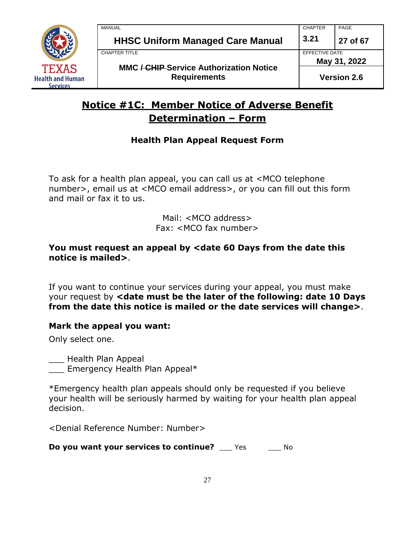

## **Notice #1C: Member Notice of Adverse Benefit Determination – Form**

## **Health Plan Appeal Request Form**

To ask for a health plan appeal, you can call us at <MCO telephone number>, email us at <MCO email address>, or you can fill out this form and mail or fax it to us.

> Mail: <MCO address> Fax: <MCO fax number>

#### You must request an appeal by <date 60 Days from the date this **notice is mailed>**.

If you want to continue your services during your appeal, you must make your request by **<date must be the later of the following: date 10 Days from the date this notice is mailed or the date services will change>**.

#### **Mark the appeal you want:**

Only select one.

\_\_\_ Health Plan Appeal

Emergency Health Plan Appeal\*

\*Emergency health plan appeals should only be requested if you believe your health will be seriously harmed by waiting for your health plan appeal decision.

<Denial Reference Number: Number>

**Do** you want your services to continue? Yes Mo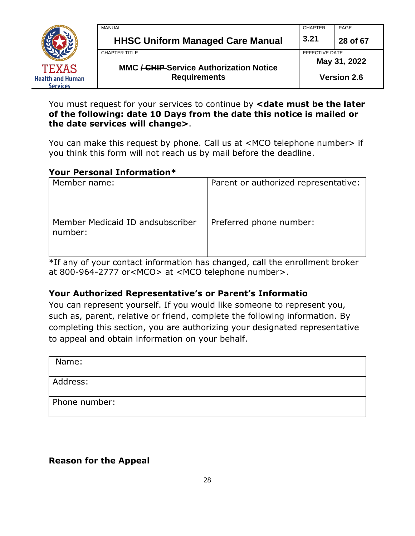

| <b>MANUAL</b>                                                         | <b>CHAPTER</b>                 | PAGE               |
|-----------------------------------------------------------------------|--------------------------------|--------------------|
| <b>HHSC Uniform Managed Care Manual</b>                               | 3.21                           | 28 of 67           |
| CHAPTER TITLE                                                         | EFFECTIVE DATE<br>May 31, 2022 |                    |
| <b>MMC / CHIP Service Authorization Notice</b><br><b>Requirements</b> |                                | <b>Version 2.6</b> |

You must request for your services to continue by **<date must be the later of the following: date 10 Days from the date this notice is mailed or the date services will change>**.

You can make this request by phone. Call us at <MCO telephone number> if you think this form will not reach us by mail before the deadline.

#### **Your Personal Information\***

| Member name:                                 | Parent or authorized representative: |
|----------------------------------------------|--------------------------------------|
| Member Medicaid ID and subscriber<br>number: | Preferred phone number:              |

\*If any of your contact information has changed, call the enrollment broker at 800-964-2777 or<MCO> at <MCO telephone number>.

#### **Your Authorized Representative's or Parent's Informatio**

You can represent yourself. If you would like someone to represent you, such as, parent, relative or friend, complete the following information. By completing this section, you are authorizing your designated representative to appeal and obtain information on your behalf.

| Name:         |  |
|---------------|--|
| Address:      |  |
| Phone number: |  |

#### **Reason for the Appeal**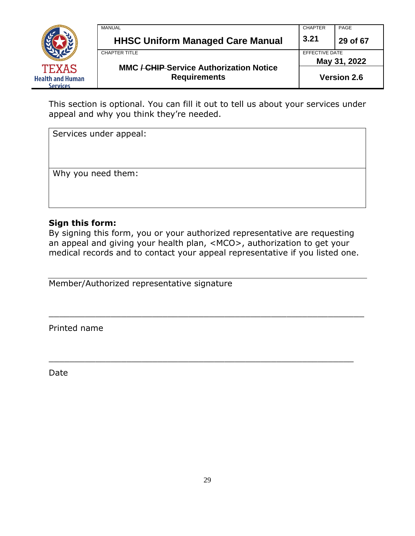

| MANUAL        |                                                                                             | <b>CHAPTER</b>                 | PAGE     |
|---------------|---------------------------------------------------------------------------------------------|--------------------------------|----------|
|               | <b>HHSC Uniform Managed Care Manual</b>                                                     | 3.21                           | 29 of 67 |
| CHAPTER TITLE |                                                                                             | EFFECTIVE DATE<br>May 31, 2022 |          |
|               | <b>MMC / CHIP Service Authorization Notice</b><br><b>Requirements</b><br><b>Version 2.6</b> |                                |          |

This section is optional. You can fill it out to tell us about your services under appeal and why you think they're needed.

Services under appeal:

Why you need them:

#### **Sign this form:**

By signing this form, you or your authorized representative are requesting an appeal and giving your health plan, <MCO>, authorization to get your medical records and to contact your appeal representative if you listed one.

\_\_\_\_\_\_\_\_\_\_\_\_\_\_\_\_\_\_\_\_\_\_\_\_\_\_\_\_\_\_\_\_\_\_\_\_\_\_\_\_\_\_\_\_\_\_\_\_\_\_\_\_\_\_\_\_\_\_\_\_\_

\_\_\_\_\_\_\_\_\_\_\_\_\_\_\_\_\_\_\_\_\_\_\_\_\_\_\_\_\_\_\_\_\_\_\_\_\_\_\_\_\_\_\_\_\_\_\_\_\_\_\_\_\_\_\_\_\_\_\_

Member/Authorized representative signature

Printed name

Date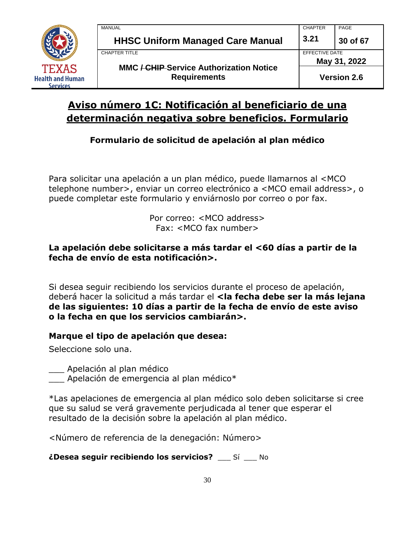

## **Aviso número 1C: Notificación al beneficiario de una determinación negativa sobre beneficios. Formulario**

## **Formulario de solicitud de apelación al plan médico**

Para solicitar una apelación a un plan médico, puede llamarnos al <MCO telephone number>, enviar un correo electrónico a <MCO email address>, o puede completar este formulario y enviárnoslo por correo o por fax.

> Por correo: <MCO address> Fax: <MCO fax number>

#### **La apelación debe solicitarse a más tardar el <60 días a partir de la fecha de envío de esta notificación>.**

Si desea seguir recibiendo los servicios durante el proceso de apelación, deberá hacer la solicitud a más tardar el **<la fecha debe ser la más lejana de las siguientes: 10 días a partir de la fecha de envío de este aviso o la fecha en que los servicios cambiarán>.**

#### **Marque el tipo de apelación que desea:**

Seleccione solo una.

\_\_\_ Apelación al plan médico

Apelación de emergencia al plan médico $*$ 

\*Las apelaciones de emergencia al plan médico solo deben solicitarse si cree que su salud se verá gravemente perjudicada al tener que esperar el resultado de la decisión sobre la apelación al plan médico.

<Número de referencia de la denegación: Número>

**¿Desea seguir recibiendo los servicios?** \_\_\_ Sí \_\_\_ No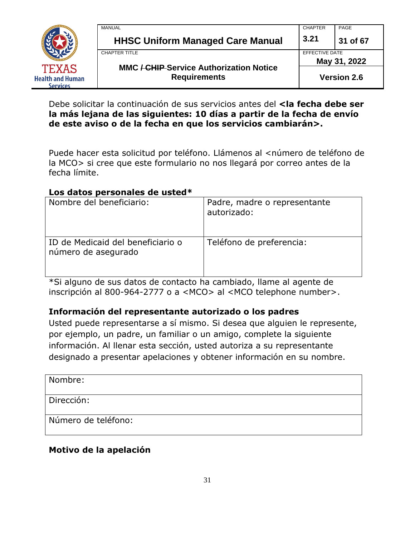

| <b>MANUAL</b>                                                         | <b>CHAPTER</b> | PAGE               |
|-----------------------------------------------------------------------|----------------|--------------------|
| <b>HHSC Uniform Managed Care Manual</b>                               | 3.21           | 31 of 67           |
| CHAPTER TITLE                                                         | EFFECTIVE DATE |                    |
|                                                                       |                | May 31, 2022       |
| <b>MMC / CHIP Service Authorization Notice</b><br><b>Requirements</b> |                | <b>Version 2.6</b> |

Debe solicitar la continuación de sus servicios antes del **<la fecha debe ser la más lejana de las siguientes: 10 días a partir de la fecha de envío de este aviso o de la fecha en que los servicios cambiarán>.**

Puede hacer esta solicitud por teléfono. Llámenos al <número de teléfono de la MCO> si cree que este formulario no nos llegará por correo antes de la fecha límite.

#### **Los datos personales de usted\***

| Nombre del beneficiario:                                 | Padre, madre o representante<br>autorizado: |
|----------------------------------------------------------|---------------------------------------------|
| ID de Medicaid del beneficiario o<br>número de asegurado | Teléfono de preferencia:                    |

\*Si alguno de sus datos de contacto ha cambiado, llame al agente de inscripción al 800-964-2777 o a <MCO> al <MCO telephone number>.

#### **Información del representante autorizado o los padres**

Usted puede representarse a sí mismo. Si desea que alguien le represente, por ejemplo, un padre, un familiar o un amigo, complete la siguiente información. Al llenar esta sección, usted autoriza a su representante designado a presentar apelaciones y obtener información en su nombre.

Nombre:

Dirección:

Número de teléfono:

## **Motivo de la apelación**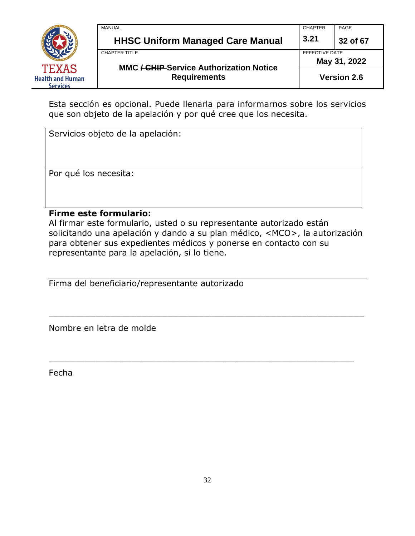

| <b>MANUAL</b>                                                         | <b>CHAPTER</b> | PAGE               |
|-----------------------------------------------------------------------|----------------|--------------------|
| <b>HHSC Uniform Managed Care Manual</b>                               | 3.21           | 32 of 67           |
| CHAPTER TITLE                                                         | EFFECTIVE DATE |                    |
|                                                                       |                | May 31, 2022       |
| <b>MMC / CHIP Service Authorization Notice</b><br><b>Requirements</b> |                | <b>Version 2.6</b> |

Esta sección es opcional. Puede llenarla para informarnos sobre los servicios que son objeto de la apelación y por qué cree que los necesita.

| Servicios objeto de la apelación: |
|-----------------------------------|
|                                   |
|                                   |
|                                   |
| Por qué los necesita:             |
|                                   |
|                                   |
|                                   |
| <b>Firme este formulario:</b>     |

Al firmar este formulario, usted o su representante autorizado están solicitando una apelación y dando a su plan médico, <MCO>, la autorización para obtener sus expedientes médicos y ponerse en contacto con su representante para la apelación, si lo tiene.

\_\_\_\_\_\_\_\_\_\_\_\_\_\_\_\_\_\_\_\_\_\_\_\_\_\_\_\_\_\_\_\_\_\_\_\_\_\_\_\_\_\_\_\_\_\_\_\_\_\_\_\_\_\_\_\_\_\_\_\_\_

\_\_\_\_\_\_\_\_\_\_\_\_\_\_\_\_\_\_\_\_\_\_\_\_\_\_\_\_\_\_\_\_\_\_\_\_\_\_\_\_\_\_\_\_\_\_\_\_\_\_\_\_\_\_\_\_\_\_\_

Firma del beneficiario/representante autorizado

Nombre en letra de molde

Fecha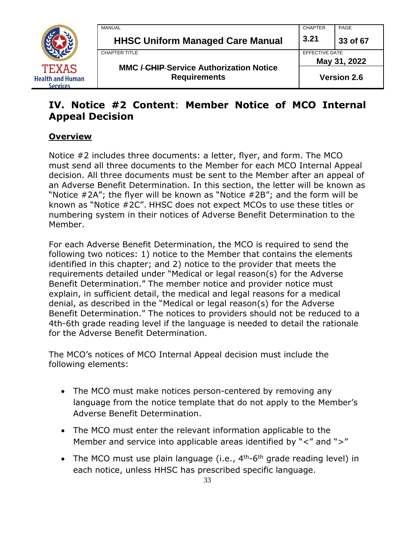

| MANUAL                                                                | <b>CHAPTER</b> | PAGE               |  |
|-----------------------------------------------------------------------|----------------|--------------------|--|
| <b>HHSC Uniform Managed Care Manual</b>                               | 3.21           | 33 of 67           |  |
| CHAPTER TITLE                                                         | EFFECTIVE DATE |                    |  |
|                                                                       |                | May 31, 2022       |  |
| <b>MMC / CHIP Service Authorization Notice</b><br><b>Requirements</b> |                | <b>Version 2.6</b> |  |

## **IV. Notice #2 Content**: **Member Notice of MCO Internal Appeal Decision**

## **Overview**

Notice #2 includes three documents: a letter, flyer, and form. The MCO must send all three documents to the Member for each MCO Internal Appeal decision. All three documents must be sent to the Member after an appeal of an Adverse Benefit Determination. In this section, the letter will be known as "Notice #2A"; the flyer will be known as "Notice #2B"; and the form will be known as "Notice #2C". HHSC does not expect MCOs to use these titles or numbering system in their notices of Adverse Benefit Determination to the Member.

For each Adverse Benefit Determination, the MCO is required to send the following two notices: 1) notice to the Member that contains the elements identified in this chapter; and 2) notice to the provider that meets the requirements detailed under "Medical or legal reason(s) for the Adverse Benefit Determination." The member notice and provider notice must explain, in sufficient detail, the medical and legal reasons for a medical denial, as described in the "Medical or legal reason(s) for the Adverse Benefit Determination." The notices to providers should not be reduced to a 4th-6th grade reading level if the language is needed to detail the rationale for the Adverse Benefit Determination.

The MCO's notices of MCO Internal Appeal decision must include the following elements:

- The MCO must make notices person-centered by removing any language from the notice template that do not apply to the Member's Adverse Benefit Determination.
- The MCO must enter the relevant information applicable to the Member and service into applicable areas identified by "<" and ">"
- The MCO must use plain language (i.e.,  $4<sup>th</sup>$ -6<sup>th</sup> grade reading level) in each notice, unless HHSC has prescribed specific language.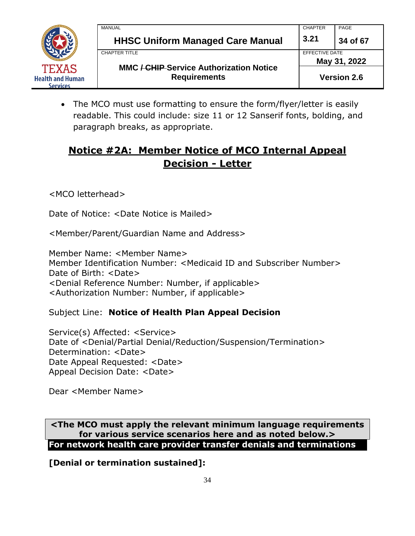

|  | MANUAL                                                                                        | <b>CHAPTER</b>                 | PAGE               |
|--|-----------------------------------------------------------------------------------------------|--------------------------------|--------------------|
|  | <b>HHSC Uniform Managed Care Manual</b>                                                       | 3.21                           | 34 of 67           |
|  | <b>CHAPTER TITLE</b><br><b>MMC / CHIP Service Authorization Notice</b><br><b>Requirements</b> | EFFECTIVE DATE<br>May 31, 2022 |                    |
|  |                                                                                               |                                | <b>Version 2.6</b> |

• The MCO must use formatting to ensure the form/flyer/letter is easily readable. This could include: size 11 or 12 Sanserif fonts, bolding, and paragraph breaks, as appropriate.

## **Notice #2A: Member Notice of MCO Internal Appeal Decision - Letter**

<MCO letterhead>

Date of Notice: <Date Notice is Mailed>

<Member/Parent/Guardian Name and Address>

Member Name: <Member Name> Member Identification Number: <Medicaid ID and Subscriber Number> Date of Birth: <Date> <Denial Reference Number: Number, if applicable> <Authorization Number: Number, if applicable>

Subject Line: **Notice of Health Plan Appeal Decision**

Service(s) Affected: <Service> Date of <Denial/Partial Denial/Reduction/Suspension/Termination> Determination: <Date> Date Appeal Requested: <Date> Appeal Decision Date: <Date>

Dear <Member Name>

**<The MCO must apply the relevant minimum language requirements for various service scenarios here and as noted below.> For network health care provider transfer denials and terminations**

**[Denial or termination sustained]:**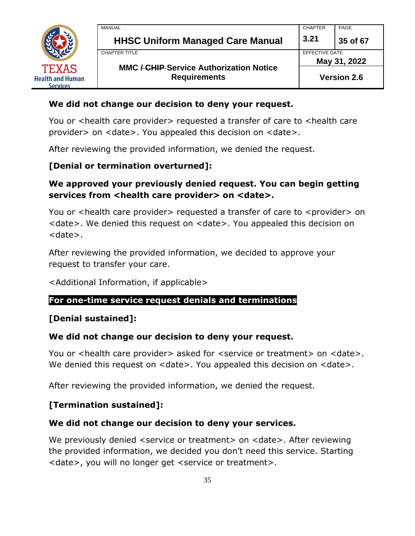

| MANUAL                                                                           | <b>CHAPTER</b> | PAGE               |
|----------------------------------------------------------------------------------|----------------|--------------------|
| <b>HHSC Uniform Managed Care Manual</b>                                          | 3.21           | 35 of 67           |
| CHAPTER TITLE                                                                    | EFFECTIVE DATE |                    |
|                                                                                  | May 31, 2022   |                    |
| <b>MMC <del>/ CHIP</del>-Service Authorization Notice</b><br><b>Requirements</b> |                | <b>Version 2.6</b> |

#### **We did not change our decision to deny your request.**

You or <health care provider> requested a transfer of care to <health care provider> on <date>. You appealed this decision on <date>.

After reviewing the provided information, we denied the request.

#### **[Denial or termination overturned]:**

## **We approved your previously denied request. You can begin getting**  services from <health care provider> on <date>.

You or <health care provider> requested a transfer of care to <provider> on <date>. We denied this request on <date>. You appealed this decision on <date>.

After reviewing the provided information, we decided to approve your request to transfer your care.

<Additional Information, if applicable>

#### **For one-time service request denials and terminations**

#### **[Denial sustained]:**

#### **We did not change our decision to deny your request.**

You or <health care provider> asked for <service or treatment> on <date>. We denied this request on <date>. You appealed this decision on <date>.

After reviewing the provided information, we denied the request.

#### **[Termination sustained]:**

#### **We did not change our decision to deny your services.**

We previously denied <service or treatment> on <date>. After reviewing the provided information, we decided you don't need this service. Starting <date>, you will no longer get <service or treatment>.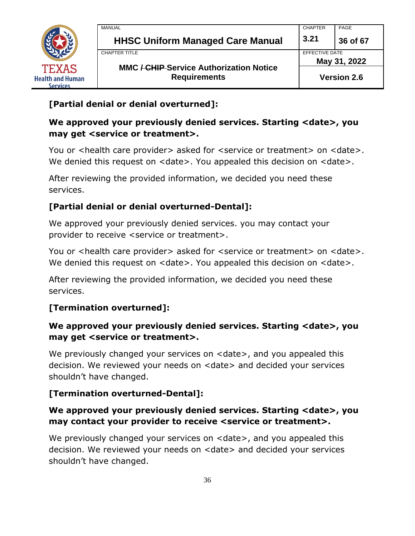

## **[Partial denial or denial overturned]:**

## **We approved your previously denied services. Starting <date>, you may get <service or treatment>.**

You or <health care provider> asked for <service or treatment> on <date>. We denied this request on <date>. You appealed this decision on <date>.

After reviewing the provided information, we decided you need these services.

## **[Partial denial or denial overturned-Dental]:**

We approved your previously denied services. you may contact your provider to receive <service or treatment>.

You or <health care provider> asked for <service or treatment> on <date>. We denied this request on <date>. You appealed this decision on <date>.

After reviewing the provided information, we decided you need these services.

## **[Termination overturned]:**

## **We approved your previously denied services. Starting <date>, you may get <service or treatment>.**

We previously changed your services on <date>, and you appealed this decision. We reviewed your needs on <date> and decided your services shouldn't have changed.

## **[Termination overturned-Dental]:**

## **We approved your previously denied services. Starting <date>, you may contact your provider to receive <service or treatment>.**

We previously changed your services on <date>, and you appealed this decision. We reviewed your needs on <date> and decided your services shouldn't have changed.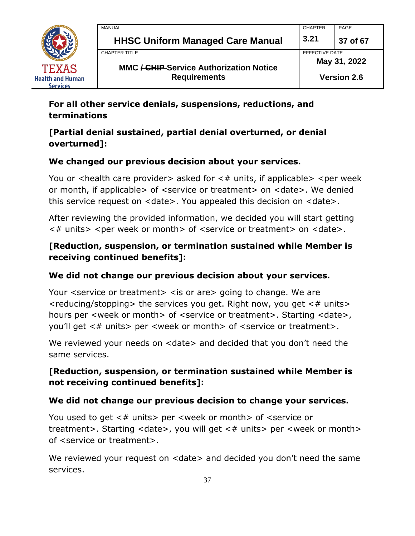

| MANUAL                                                                | <b>CHAPTER</b> | PAGE               |  |
|-----------------------------------------------------------------------|----------------|--------------------|--|
| <b>HHSC Uniform Managed Care Manual</b>                               | 3.21           | 37 of 67           |  |
| CHAPTER TITLE                                                         |                | EFFECTIVE DATE     |  |
|                                                                       |                | May 31, 2022       |  |
| <b>MMC / CHIP Service Authorization Notice</b><br><b>Requirements</b> |                | <b>Version 2.6</b> |  |

## **For all other service denials, suspensions, reductions, and terminations**

## **[Partial denial sustained, partial denial overturned, or denial overturned]:**

## **We changed our previous decision about your services.**

You or  $\alpha$  -health care provider asked for  $\alpha$  units, if applicable  $\alpha$  -per week or month, if applicable> of <service or treatment> on <date>. We denied this service request on <date>. You appealed this decision on <date>.

After reviewing the provided information, we decided you will start getting  $\lt$ # units>  $\lt$  per week or month> of  $\lt$  service or treatment> on  $\lt$  date>.

## **[Reduction, suspension, or termination sustained while Member is receiving continued benefits]:**

#### **We did not change our previous decision about your services.**

Your <service or treatment> <is or are> going to change. We are  $\le$  reducing/stopping  $>$  the services you get. Right now, you get  $\leq \#$  units  $>$ hours per <week or month> of <service or treatment>. Starting <date>, you'll get <# units> per <week or month> of <service or treatment>.

We reviewed your needs on <date> and decided that you don't need the same services.

## **[Reduction, suspension, or termination sustained while Member is not receiving continued benefits]:**

#### **We did not change our previous decision to change your services.**

You used to get <# units> per <week or month> of <service or treatment>. Starting <date>, you will get <# units> per <week or month> of <service or treatment>.

We reviewed your request on <date> and decided you don't need the same services.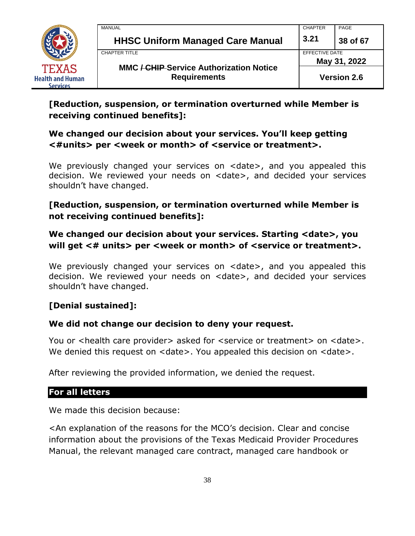

| MANUAL                                                                | <b>CHAPTER</b> | PAGE               |
|-----------------------------------------------------------------------|----------------|--------------------|
| <b>HHSC Uniform Managed Care Manual</b>                               | 3.21           | 38 of 67           |
| CHAPTER TITLE                                                         | EFFECTIVE DATE |                    |
|                                                                       |                | May 31, 2022       |
| <b>MMC / CHIP Service Authorization Notice</b><br><b>Requirements</b> |                | <b>Version 2.6</b> |

## **[Reduction, suspension, or termination overturned while Member is receiving continued benefits]:**

## **We changed our decision about your services. You'll keep getting <#units> per <week or month> of <service or treatment>.**

We previously changed your services on <date>, and you appealed this decision. We reviewed your needs on <date>, and decided your services shouldn't have changed.

## **[Reduction, suspension, or termination overturned while Member is not receiving continued benefits]:**

## **We changed our decision about your services. Starting <date>, you will get <# units> per <week or month> of <service or treatment>.**

We previously changed your services on <date>, and you appealed this decision. We reviewed your needs on <date>, and decided your services shouldn't have changed.

## **[Denial sustained]:**

#### **We did not change our decision to deny your request.**

You or <health care provider> asked for <service or treatment> on <date>. We denied this request on  $\leq$  date $\geq$ . You appealed this decision on  $\leq$  date $\geq$ .

After reviewing the provided information, we denied the request.

#### **For all letters**

We made this decision because:

<An explanation of the reasons for the MCO's decision. Clear and concise information about the provisions of the Texas Medicaid Provider Procedures Manual, the relevant managed care contract, managed care handbook or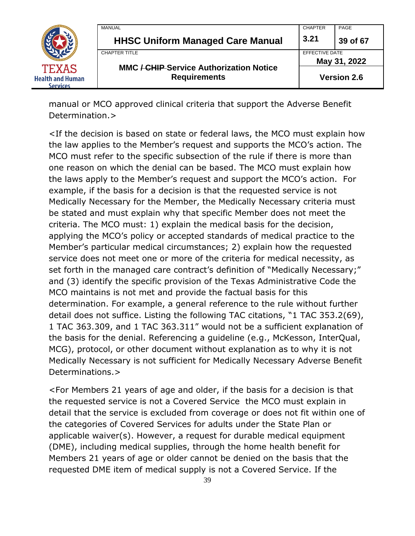

| MANUAL                                                                | <b>CHAPTER</b>                 | PAGE               |
|-----------------------------------------------------------------------|--------------------------------|--------------------|
| <b>HHSC Uniform Managed Care Manual</b>                               | 3.21                           | 39 of 67           |
| CHAPTER TITLE                                                         | EFFECTIVE DATE<br>May 31, 2022 |                    |
| <b>MMC / CHIP Service Authorization Notice</b><br><b>Requirements</b> |                                | <b>Version 2.6</b> |

manual or MCO approved clinical criteria that support the Adverse Benefit Determination.>

<If the decision is based on state or federal laws, the MCO must explain how the law applies to the Member's request and supports the MCO's action. The MCO must refer to the specific subsection of the rule if there is more than one reason on which the denial can be based. The MCO must explain how the laws apply to the Member's request and support the MCO's action. For example, if the basis for a decision is that the requested service is not Medically Necessary for the Member, the Medically Necessary criteria must be stated and must explain why that specific Member does not meet the criteria. The MCO must: 1) explain the medical basis for the decision, applying the MCO's policy or accepted standards of medical practice to the Member's particular medical circumstances; 2) explain how the requested service does not meet one or more of the criteria for medical necessity, as set forth in the managed care contract's definition of "Medically Necessary;" and (3) identify the specific provision of the Texas Administrative Code the MCO maintains is not met and provide the factual basis for this determination. For example, a general reference to the rule without further detail does not suffice. Listing the following TAC citations, "1 TAC 353.2(69), 1 TAC 363.309, and 1 TAC 363.311" would not be a sufficient explanation of the basis for the denial. Referencing a guideline (e.g., McKesson, InterQual, MCG), protocol, or other document without explanation as to why it is not Medically Necessary is not sufficient for Medically Necessary Adverse Benefit Determinations.>

<For Members 21 years of age and older, if the basis for a decision is that the requested service is not a Covered Service the MCO must explain in detail that the service is excluded from coverage or does not fit within one of the categories of Covered Services for adults under the State Plan or applicable waiver(s). However, a request for durable medical equipment (DME), including medical supplies, through the home health benefit for Members 21 years of age or older cannot be denied on the basis that the requested DME item of medical supply is not a Covered Service. If the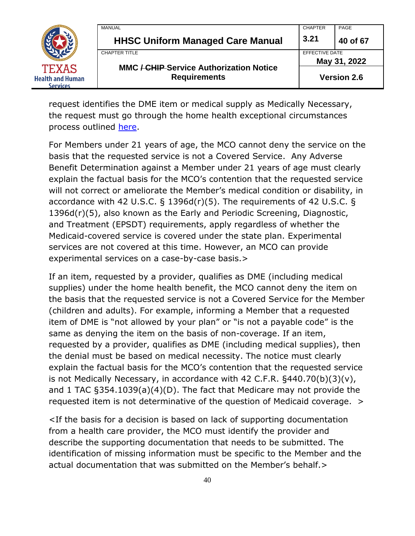|                                            | MANUAL                                         | <b>CHAPTER</b>                 | PAGE     |
|--------------------------------------------|------------------------------------------------|--------------------------------|----------|
|                                            | <b>HHSC Uniform Managed Care Manual</b>        | 3.21                           | 40 of 67 |
|                                            | <b>CHAPTER TITLE</b>                           | EFFECTIVE DATE<br>May 31, 2022 |          |
| <b>TEXAS</b>                               | <b>MMC / CHIP Service Authorization Notice</b> |                                |          |
| <b>Health and Human</b><br><b>Services</b> | <b>Requirements</b>                            | <b>Version 2.6</b>             |          |

request identifies the DME item or medical supply as Medically Necessary, the request must go through the home health exceptional circumstances process outlined [here.](https://www.tmhp.com/news/2020-04-29-home-health-dme-and-supplies-exceptional-circumstances-provision-medicaid-clients)

For Members under 21 years of age, the MCO cannot deny the service on the basis that the requested service is not a Covered Service. Any Adverse Benefit Determination against a Member under 21 years of age must clearly explain the factual basis for the MCO's contention that the requested service will not correct or ameliorate the Member's medical condition or disability, in accordance with 42 U.S.C. § 1396d(r)(5). The requirements of 42 U.S.C. § 1396d(r)(5), also known as the Early and Periodic Screening, Diagnostic, and Treatment (EPSDT) requirements, apply regardless of whether the Medicaid-covered service is covered under the state plan. Experimental services are not covered at this time. However, an MCO can provide experimental services on a case-by-case basis.>

If an item, requested by a provider, qualifies as DME (including medical supplies) under the home health benefit, the MCO cannot deny the item on the basis that the requested service is not a Covered Service for the Member (children and adults). For example, informing a Member that a requested item of DME is "not allowed by your plan" or "is not a payable code" is the same as denying the item on the basis of non-coverage. If an item, requested by a provider, qualifies as DME (including medical supplies), then the denial must be based on medical necessity. The notice must clearly explain the factual basis for the MCO's contention that the requested service is not Medically Necessary, in accordance with 42 C.F.R. §440.70(b)(3)(v), and 1 TAC §354.1039(a)(4)(D). The fact that Medicare may not provide the requested item is not determinative of the question of Medicaid coverage. >

<If the basis for a decision is based on lack of supporting documentation from a health care provider, the MCO must identify the provider and describe the supporting documentation that needs to be submitted. The identification of missing information must be specific to the Member and the actual documentation that was submitted on the Member's behalf.>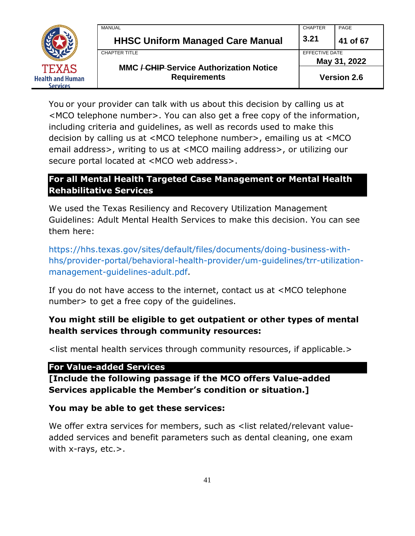

You or your provider can talk with us about this decision by calling us at <MCO telephone number>. You can also get a free copy of the information, including criteria and guidelines, as well as records used to make this decision by calling us at <MCO telephone number>, emailing us at <MCO email address>, writing to us at <MCO mailing address>, or utilizing our secure portal located at <MCO web address>.

#### **For all Mental Health Targeted Case Management or Mental Health Rehabilitative Services**

We used the Texas Resiliency and Recovery Utilization Management Guidelines: Adult Mental Health Services to make this decision. You can see them here:

[https://hhs.texas.gov/sites/default/files/documents/doing-business-with](https://hhs.texas.gov/sites/default/files/documents/doing-business-with-hhs/provider-portal/behavioral-health-provider/um-guidelines/trr-utilization-management-guidelines-adult.pdf)[hhs/provider-portal/behavioral-health-provider/um-guidelines/trr-utilization](https://hhs.texas.gov/sites/default/files/documents/doing-business-with-hhs/provider-portal/behavioral-health-provider/um-guidelines/trr-utilization-management-guidelines-adult.pdf)[management-guidelines-adult.pdf.](https://hhs.texas.gov/sites/default/files/documents/doing-business-with-hhs/provider-portal/behavioral-health-provider/um-guidelines/trr-utilization-management-guidelines-adult.pdf)

If you do not have access to the internet, contact us at <MCO telephone number> to get a free copy of the guidelines.

## **You might still be eligible to get outpatient or other types of mental health services through community resources:**

<list mental health services through community resources, if applicable.>

#### **For Value-added Services**

**[Include the following passage if the MCO offers Value-added Services applicable the Member's condition or situation.]**

#### **You may be able to get these services:**

We offer extra services for members, such as <list related/relevant valueadded services and benefit parameters such as dental cleaning, one exam with x-rays, etc.>.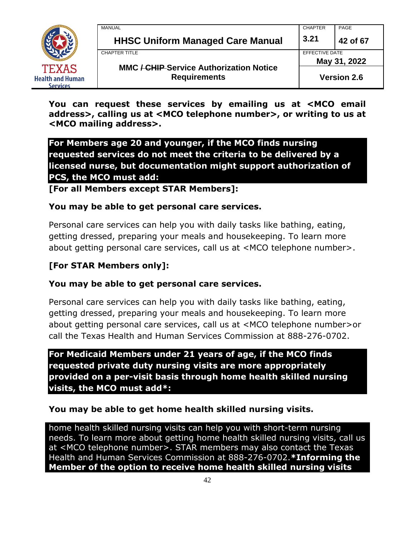

| MANUAL                                                                | <b>CHAPTER</b> | PAGE               |
|-----------------------------------------------------------------------|----------------|--------------------|
| <b>HHSC Uniform Managed Care Manual</b>                               | 3.21           | 42 of 67           |
| CHAPTER TITLE                                                         | EFFECTIVE DATE |                    |
|                                                                       | May 31, 2022   |                    |
| <b>MMC / CHIP Service Authorization Notice</b><br><b>Requirements</b> |                | <b>Version 2.6</b> |

**You can request these services by emailing us at <MCO email address>, calling us at <MCO telephone number>, or writing to us at <MCO mailing address>.**

**For Members age 20 and younger, if the MCO finds nursing requested services do not meet the criteria to be delivered by a licensed nurse, but documentation might support authorization of PCS, the MCO must add:** 

**[For all Members except STAR Members]:**

#### **You may be able to get personal care services.**

Personal care services can help you with daily tasks like bathing, eating, getting dressed, preparing your meals and housekeeping. To learn more about getting personal care services, call us at <MCO telephone number>.

#### **[For STAR Members only]:**

#### **You may be able to get personal care services.**

Personal care services can help you with daily tasks like bathing, eating, getting dressed, preparing your meals and housekeeping. To learn more about getting personal care services, call us at <MCO telephone number>or call the Texas Health and Human Services Commission at 888-276-0702.

**For Medicaid Members under 21 years of age, if the MCO finds requested private duty nursing visits are more appropriately provided on a per-visit basis through home health skilled nursing visits, the MCO must add\*:**

#### **You may be able to get home health skilled nursing visits.**

home health skilled nursing visits can help you with short-term nursing needs. To learn more about getting home health skilled nursing visits, call us at <MCO telephone number>. STAR members may also contact the Texas Health and Human Services Commission at 888-276-0702.**\*Informing the Member of the option to receive home health skilled nursing visits**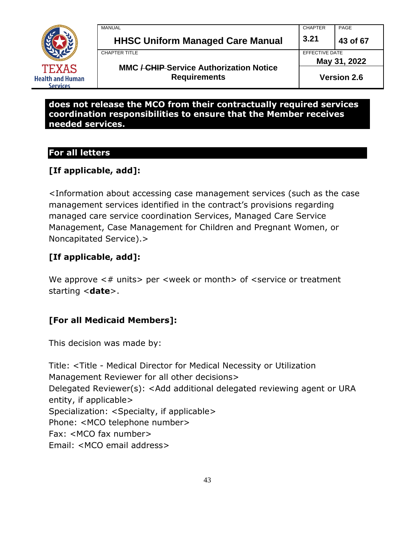

| <b>MANUAL</b>                                                         | <b>CHAPTER</b> | PAGE               |
|-----------------------------------------------------------------------|----------------|--------------------|
| <b>HHSC Uniform Managed Care Manual</b>                               | 3.21           | 43 of 67           |
| <b>CHAPTER TITLE</b>                                                  | EFFECTIVE DATE |                    |
|                                                                       |                | May 31, 2022       |
| <b>MMC / CHIP Service Authorization Notice</b><br><b>Requirements</b> |                | <b>Version 2.6</b> |

#### **does not release the MCO from their contractually required services coordination responsibilities to ensure that the Member receives needed services.**

## **For all letters**

## **[If applicable, add]:**

<Information about accessing case management services (such as the case management services identified in the contract's provisions regarding managed care service coordination Services, Managed Care Service Management, Case Management for Children and Pregnant Women, or Noncapitated Service).>

## **[If applicable, add]:**

We approve  $\lt\#$  units per  $\lt$ week or month of  $\lt$ service or treatment starting <**date**>.

#### **[For all Medicaid Members]:**

This decision was made by:

Title: <Title - Medical Director for Medical Necessity or Utilization Management Reviewer for all other decisions> Delegated Reviewer(s): <Add additional delegated reviewing agent or URA entity, if applicable> Specialization: <Specialty, if applicable> Phone: <MCO telephone number> Fax: <MCO fax number> Email: <MCO email address>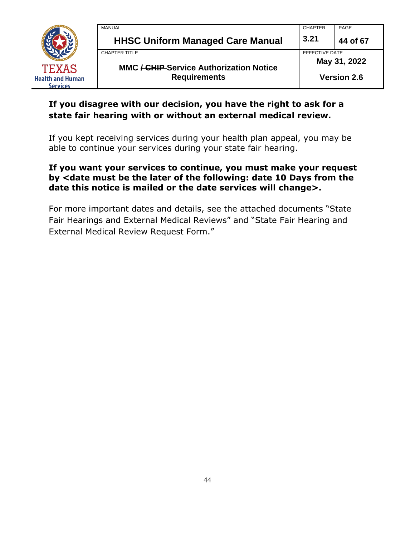

| MANUAL                                                                | <b>CHAPTER</b>     | PAGE     |
|-----------------------------------------------------------------------|--------------------|----------|
| <b>HHSC Uniform Managed Care Manual</b>                               | 3.21               | 44 of 67 |
| <b>CHAPTER TITLE</b>                                                  | EFFECTIVE DATE     |          |
|                                                                       | May 31, 2022       |          |
| <b>MMC / CHIP Service Authorization Notice</b><br><b>Requirements</b> | <b>Version 2.6</b> |          |

## **If you disagree with our decision, you have the right to ask for a state fair hearing with or without an external medical review.**

If you kept receiving services during your health plan appeal, you may be able to continue your services during your state fair hearing.

#### **If you want your services to continue, you must make your request by <date must be the later of the following: date 10 Days from the date this notice is mailed or the date services will change>.**

For more important dates and details, see the attached documents "State Fair Hearings and External Medical Reviews" and "State Fair Hearing and External Medical Review Request Form."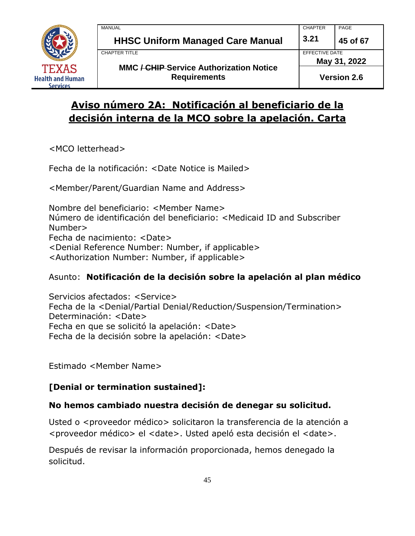

## **Aviso número 2A: Notificación al beneficiario de la decisión interna de la MCO sobre la apelación. Carta**

<MCO letterhead>

Fecha de la notificación: <Date Notice is Mailed>

<Member/Parent/Guardian Name and Address>

Nombre del beneficiario: <Member Name> Número de identificación del beneficiario: <Medicaid ID and Subscriber Number> Fecha de nacimiento: <Date> <Denial Reference Number: Number, if applicable> <Authorization Number: Number, if applicable>

## Asunto: **Notificación de la decisión sobre la apelación al plan médico**

Servicios afectados: <Service> Fecha de la <Denial/Partial Denial/Reduction/Suspension/Termination> Determinación: <Date> Fecha en que se solicitó la apelación: <Date> Fecha de la decisión sobre la apelación: <Date>

Estimado <Member Name>

## **[Denial or termination sustained]:**

## **No hemos cambiado nuestra decisión de denegar su solicitud.**

Usted o <proveedor médico> solicitaron la transferencia de la atención a <proveedor médico> el <date>. Usted apeló esta decisión el <date>.

Después de revisar la información proporcionada, hemos denegado la solicitud.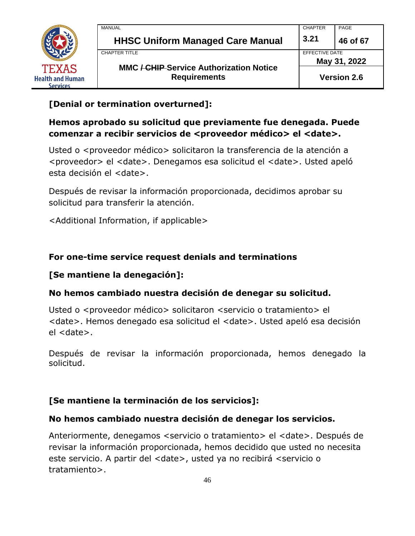

## **[Denial or termination overturned]:**

## **Hemos aprobado su solicitud que previamente fue denegada. Puede comenzar a recibir servicios de <proveedor médico> el <date>.**

Usted o <proveedor médico> solicitaron la transferencia de la atención a <proveedor> el <date>. Denegamos esa solicitud el <date>. Usted apeló esta decisión el <date>.

Después de revisar la información proporcionada, decidimos aprobar su solicitud para transferir la atención.

<Additional Information, if applicable>

## **For one-time service request denials and terminations**

## **[Se mantiene la denegación]:**

#### **No hemos cambiado nuestra decisión de denegar su solicitud.**

Usted o <proveedor médico> solicitaron <servicio o tratamiento> el <date>. Hemos denegado esa solicitud el <date>. Usted apeló esa decisión el <date>.

Después de revisar la información proporcionada, hemos denegado la solicitud.

#### **[Se mantiene la terminación de los servicios]:**

#### **No hemos cambiado nuestra decisión de denegar los servicios.**

Anteriormente, denegamos <servicio o tratamiento> el <date>. Después de revisar la información proporcionada, hemos decidido que usted no necesita este servicio. A partir del <date>, usted ya no recibirá <servicio o tratamiento>.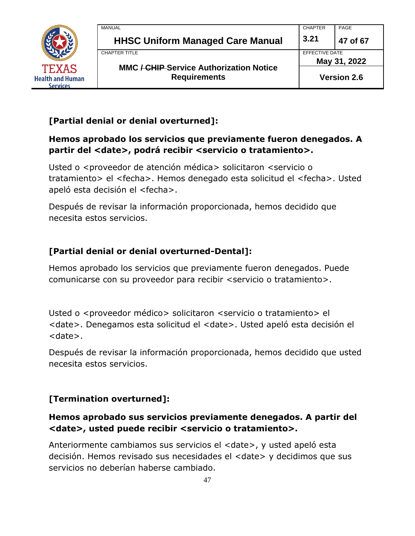

| MANUAL                                                                | <b>CHAPTER</b> | PAGE               |
|-----------------------------------------------------------------------|----------------|--------------------|
| <b>HHSC Uniform Managed Care Manual</b>                               | 3.21           | 47 of 67           |
| CHAPTER TITLE                                                         | EFFECTIVE DATE |                    |
|                                                                       | May 31, 2022   |                    |
| <b>MMC / CHIP Service Authorization Notice</b><br><b>Requirements</b> |                | <b>Version 2.6</b> |

## **[Partial denial or denial overturned]:**

## **Hemos aprobado los servicios que previamente fueron denegados. A partir del <date>, podrá recibir <servicio o tratamiento>.**

Usted o <proveedor de atención médica> solicitaron <servicio o tratamiento> el <fecha>. Hemos denegado esta solicitud el <fecha>. Usted apeló esta decisión el <fecha>.

Después de revisar la información proporcionada, hemos decidido que necesita estos servicios.

## **[Partial denial or denial overturned-Dental]:**

Hemos aprobado los servicios que previamente fueron denegados. Puede comunicarse con su proveedor para recibir <servicio o tratamiento>.

Usted o <proveedor médico> solicitaron <servicio o tratamiento> el <date>. Denegamos esta solicitud el <date>. Usted apeló esta decisión el <date>.

Después de revisar la información proporcionada, hemos decidido que usted necesita estos servicios.

## **[Termination overturned]:**

## **Hemos aprobado sus servicios previamente denegados. A partir del <date>, usted puede recibir <servicio o tratamiento>.**

Anteriormente cambiamos sus servicios el <date>, y usted apeló esta decisión. Hemos revisado sus necesidades el <date> y decidimos que sus servicios no deberían haberse cambiado.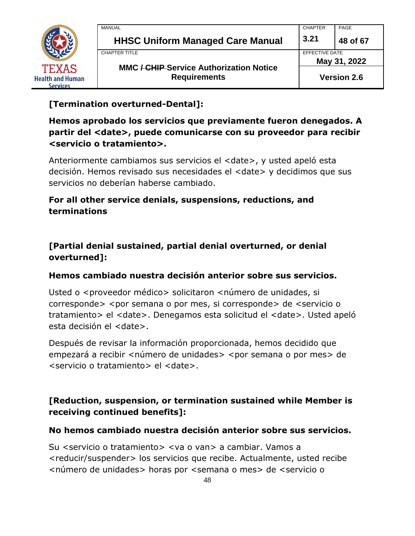

| <b>MANUAL</b>                                                         | <b>CHAPTER</b> | PAGE                                  |  |
|-----------------------------------------------------------------------|----------------|---------------------------------------|--|
| <b>HHSC Uniform Managed Care Manual</b>                               | 3.21           | 48 of 67                              |  |
| CHAPTER TITLE                                                         |                | <b>EFFECTIVE DATE</b><br>May 31, 2022 |  |
| <b>MMC / CHIP Service Authorization Notice</b><br><b>Requirements</b> |                | <b>Version 2.6</b>                    |  |

## **[Termination overturned-Dental]:**

## **Hemos aprobado los servicios que previamente fueron denegados. A partir del <date>, puede comunicarse con su proveedor para recibir <servicio o tratamiento>.**

Anteriormente cambiamos sus servicios el <date>, y usted apeló esta decisión. Hemos revisado sus necesidades el <date> y decidimos que sus servicios no deberían haberse cambiado.

## **For all other service denials, suspensions, reductions, and terminations**

## **[Partial denial sustained, partial denial overturned, or denial overturned]:**

#### **Hemos cambiado nuestra decisión anterior sobre sus servicios.**

Usted o <proveedor médico> solicitaron <número de unidades, si corresponde> <por semana o por mes, si corresponde> de <servicio o tratamiento> el <date>. Denegamos esta solicitud el <date>. Usted apeló esta decisión el <date>.

Después de revisar la información proporcionada, hemos decidido que empezará a recibir <número de unidades> <por semana o por mes> de <servicio o tratamiento> el <date>.

## **[Reduction, suspension, or termination sustained while Member is receiving continued benefits]:**

#### **No hemos cambiado nuestra decisión anterior sobre sus servicios.**

Su <servicio o tratamiento> <va o van> a cambiar. Vamos a <reducir/suspender> los servicios que recibe. Actualmente, usted recibe <número de unidades> horas por <semana o mes> de <servicio o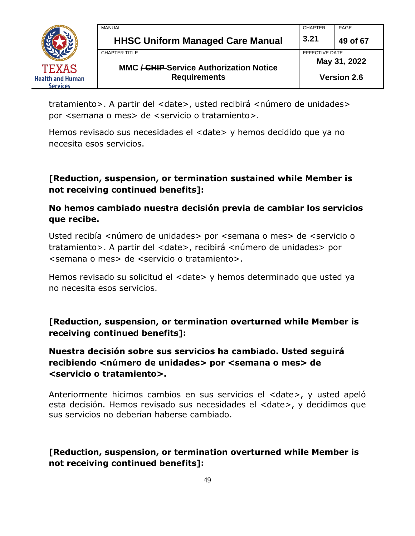

| MANUAL                                                                | <b>CHAPTER</b>     | PAGE         |
|-----------------------------------------------------------------------|--------------------|--------------|
| <b>HHSC Uniform Managed Care Manual</b>                               | 3.21               | 49 of 67     |
| CHAPTER TITLE                                                         | EFFECTIVE DATE     |              |
|                                                                       |                    | May 31, 2022 |
| <b>MMC / CHIP Service Authorization Notice</b><br><b>Requirements</b> | <b>Version 2.6</b> |              |

tratamiento>. A partir del <date>, usted recibirá <número de unidades> por <semana o mes> de <servicio o tratamiento>.

Hemos revisado sus necesidades el <date> y hemos decidido que ya no necesita esos servicios.

**[Reduction, suspension, or termination sustained while Member is not receiving continued benefits]:**

#### **No hemos cambiado nuestra decisión previa de cambiar los servicios que recibe.**

Usted recibía <número de unidades> por <semana o mes> de <servicio o tratamiento>. A partir del <date>, recibirá <número de unidades> por <semana o mes> de <servicio o tratamiento>.

Hemos revisado su solicitud el <date> y hemos determinado que usted ya no necesita esos servicios.

**[Reduction, suspension, or termination overturned while Member is receiving continued benefits]:**

## **Nuestra decisión sobre sus servicios ha cambiado. Usted seguirá recibiendo <número de unidades> por <semana o mes> de <servicio o tratamiento>.**

Anteriormente hicimos cambios en sus servicios el <date>, y usted apeló esta decisión. Hemos revisado sus necesidades el <date>, y decidimos que sus servicios no deberían haberse cambiado.

## **[Reduction, suspension, or termination overturned while Member is not receiving continued benefits]:**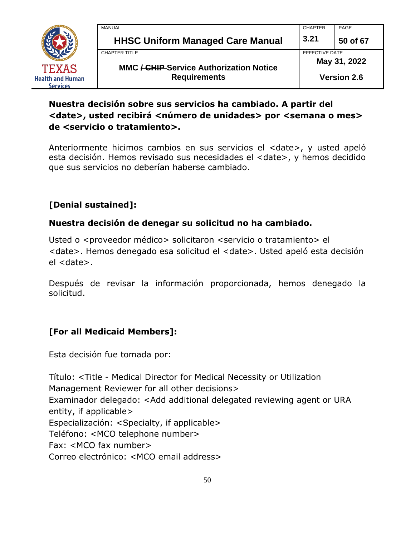

| MANUAL                                                                | <b>CHAPTER</b> | PAGE                           |  |
|-----------------------------------------------------------------------|----------------|--------------------------------|--|
| <b>HHSC Uniform Managed Care Manual</b>                               | 3.21           | 50 of 67                       |  |
| CHAPTER TITLE                                                         |                | EFFECTIVE DATE<br>May 31, 2022 |  |
| <b>MMC / CHIP Service Authorization Notice</b><br><b>Requirements</b> |                | <b>Version 2.6</b>             |  |

## **Nuestra decisión sobre sus servicios ha cambiado. A partir del**  <date>, usted recibirá <número de unidades> por <semana o mes> **de <servicio o tratamiento>.**

Anteriormente hicimos cambios en sus servicios el <date>, y usted apeló esta decisión. Hemos revisado sus necesidades el <date>, y hemos decidido que sus servicios no deberían haberse cambiado.

## **[Denial sustained]:**

## **Nuestra decisión de denegar su solicitud no ha cambiado.**

Usted o <proveedor médico> solicitaron <servicio o tratamiento> el <date>. Hemos denegado esa solicitud el <date>. Usted apeló esta decisión el <date>.

Después de revisar la información proporcionada, hemos denegado la solicitud.

## **[For all Medicaid Members]:**

Esta decisión fue tomada por:

Título: <Title - Medical Director for Medical Necessity or Utilization Management Reviewer for all other decisions> Examinador delegado: <Add additional delegated reviewing agent or URA entity, if applicable> Especialización: <Specialty, if applicable> Teléfono: <MCO telephone number> Fax: <MCO fax number> Correo electrónico: <MCO email address>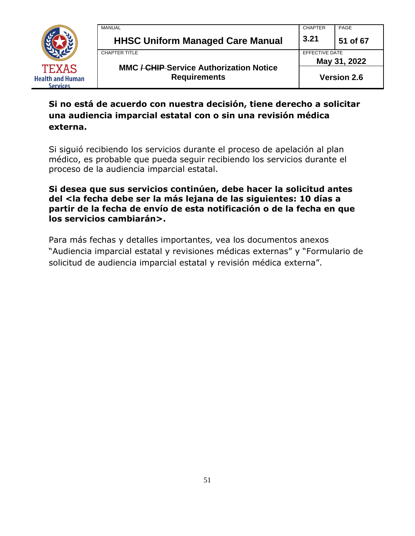

| MANUAL                                                                | <b>CHAPTER</b>     | PAGE         |
|-----------------------------------------------------------------------|--------------------|--------------|
| <b>HHSC Uniform Managed Care Manual</b>                               | 3.21               | 51 of 67     |
| CHAPTER TITLE                                                         | EFFECTIVE DATE     |              |
|                                                                       |                    | May 31, 2022 |
| <b>MMC / CHIP Service Authorization Notice</b><br><b>Requirements</b> | <b>Version 2.6</b> |              |

## **Si no está de acuerdo con nuestra decisión, tiene derecho a solicitar una audiencia imparcial estatal con o sin una revisión médica externa.**

Si siguió recibiendo los servicios durante el proceso de apelación al plan médico, es probable que pueda seguir recibiendo los servicios durante el proceso de la audiencia imparcial estatal.

**Si desea que sus servicios continúen, debe hacer la solicitud antes del <la fecha debe ser la más lejana de las siguientes: 10 días a partir de la fecha de envío de esta notificación o de la fecha en que los servicios cambiarán>.**

Para más fechas y detalles importantes, vea los documentos anexos "Audiencia imparcial estatal y revisiones médicas externas" y "Formulario de solicitud de audiencia imparcial estatal y revisión médica externa".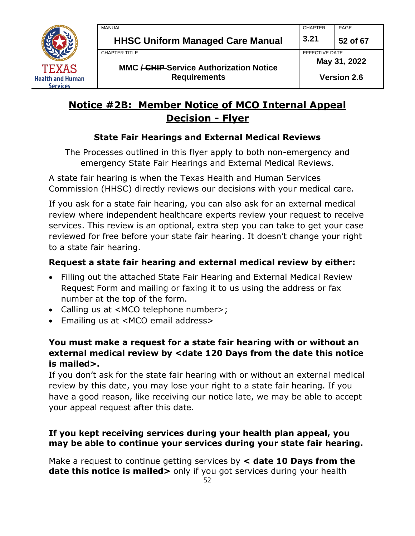

## **Notice #2B: Member Notice of MCO Internal Appeal Decision - Flyer**

## **State Fair Hearings and External Medical Reviews**

The Processes outlined in this flyer apply to both non-emergency and emergency State Fair Hearings and External Medical Reviews.

A state fair hearing is when the Texas Health and Human Services Commission (HHSC) directly reviews our decisions with your medical care.

If you ask for a state fair hearing, you can also ask for an external medical review where independent healthcare experts review your request to receive services. This review is an optional, extra step you can take to get your case reviewed for free before your state fair hearing. It doesn't change your right to a state fair hearing.

## **Request a state fair hearing and external medical review by either:**

- Filling out the attached State Fair Hearing and External Medical Review Request Form and mailing or faxing it to us using the address or fax number at the top of the form.
- Calling us at <MCO telephone number>;
- Emailing us at <MCO email address>

## **You must make a request for a state fair hearing with or without an external medical review by <date 120 Days from the date this notice is mailed>.**

If you don't ask for the state fair hearing with or without an external medical review by this date, you may lose your right to a state fair hearing. If you have a good reason, like receiving our notice late, we may be able to accept your appeal request after this date.

## **If you kept receiving services during your health plan appeal, you may be able to continue your services during your state fair hearing.**

Make a request to continue getting services by **< date 10 Days from the date this notice is mailed>** only if you got services during your health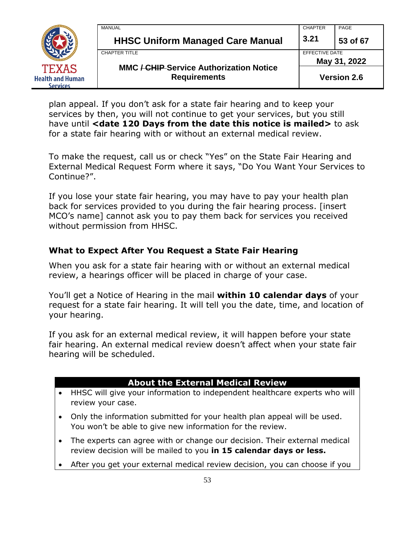

| MANUAL                                                                | <b>CHAPTER</b>     | PAGE         |
|-----------------------------------------------------------------------|--------------------|--------------|
| <b>HHSC Uniform Managed Care Manual</b>                               | 3.21               | 53 of 67     |
| CHAPTER TITLE                                                         | EFFECTIVE DATE     |              |
|                                                                       |                    | May 31, 2022 |
| <b>MMC / CHIP Service Authorization Notice</b><br><b>Requirements</b> | <b>Version 2.6</b> |              |

plan appeal. If you don't ask for a state fair hearing and to keep your services by then, you will not continue to get your services, but you still have until **<date 120 Days from the date this notice is mailed>** to ask for a state fair hearing with or without an external medical review.

To make the request, call us or check "Yes" on the State Fair Hearing and External Medical Request Form where it says, "Do You Want Your Services to Continue?".

If you lose your state fair hearing, you may have to pay your health plan back for services provided to you during the fair hearing process. [insert MCO's name] cannot ask you to pay them back for services you received without permission from HHSC.

#### **What to Expect After You Request a State Fair Hearing**

When you ask for a state fair hearing with or without an external medical review, a hearings officer will be placed in charge of your case.

You'll get a Notice of Hearing in the mail **within 10 calendar days** of your request for a state fair hearing. It will tell you the date, time, and location of your hearing.

If you ask for an external medical review, it will happen before your state fair hearing. An external medical review doesn't affect when your state fair hearing will be scheduled.

#### **About the External Medical Review**

- HHSC will give your information to independent healthcare experts who will review your case.
- Only the information submitted for your health plan appeal will be used. You won't be able to give new information for the review.
- The experts can agree with or change our decision. Their external medical review decision will be mailed to you **in 15 calendar days or less.**
- After you get your external medical review decision, you can choose if you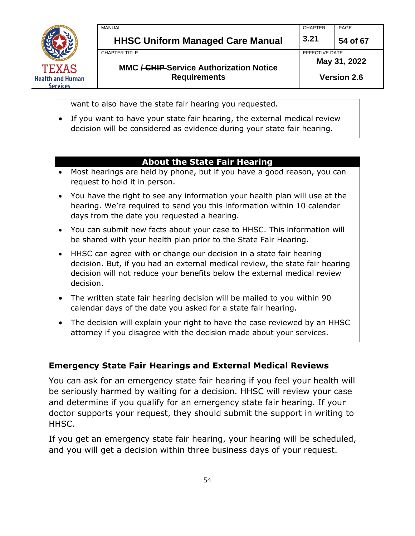

MANUAL CHAPTER PAGE **HHSC Uniform Managed Care Manual 3.21 54 of 67** CHAPTER TITLE **EFFECTIVE DATE MMC / CHIP Service Authorization Notice Requirements May 31, 2022**

want to also have the state fair hearing you requested.

• If you want to have your state fair hearing, the external medical review decision will be considered as evidence during your state fair hearing.

#### **About the State Fair Hearing**

- Most hearings are held by phone, but if you have a good reason, you can request to hold it in person.
- You have the right to see any information your health plan will use at the hearing. We're required to send you this information within 10 calendar days from the date you requested a hearing.
- You can submit new facts about your case to HHSC. This information will be shared with your health plan prior to the State Fair Hearing.
- HHSC can agree with or change our decision in a state fair hearing decision. But, if you had an external medical review, the state fair hearing decision will not reduce your benefits below the external medical review decision.
- The written state fair hearing decision will be mailed to you within 90 calendar days of the date you asked for a state fair hearing.
- The decision will explain your right to have the case reviewed by an HHSC attorney if you disagree with the decision made about your services.

#### **Emergency State Fair Hearings and External Medical Reviews**

You can ask for an emergency state fair hearing if you feel your health will be seriously harmed by waiting for a decision. HHSC will review your case and determine if you qualify for an emergency state fair hearing. If your doctor supports your request, they should submit the support in writing to HHSC.

If you get an emergency state fair hearing, your hearing will be scheduled, and you will get a decision within three business days of your request.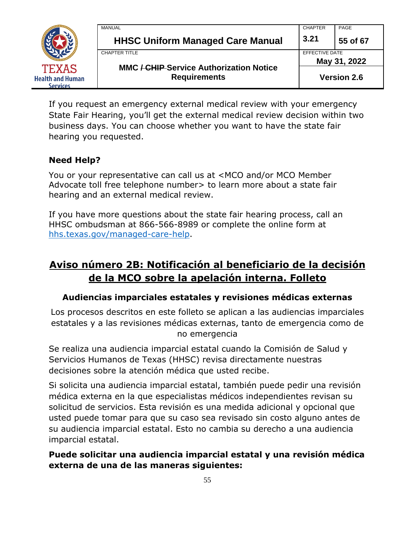

| MANUAL                                         | <b>CHAPTER</b>                 | PAGE     |
|------------------------------------------------|--------------------------------|----------|
| <b>HHSC Uniform Managed Care Manual</b>        | 3.21                           | 55 of 67 |
| CHAPTER TITLE                                  | EFFECTIVE DATE<br>May 31, 2022 |          |
| <b>MMC / CHIP Service Authorization Notice</b> |                                |          |
| <b>Requirements</b>                            | <b>Version 2.6</b>             |          |

If you request an emergency external medical review with your emergency State Fair Hearing, you'll get the external medical review decision within two business days. You can choose whether you want to have the state fair hearing you requested.

#### **Need Help?**

You or your representative can call us at <MCO and/or MCO Member Advocate toll free telephone number > to learn more about a state fair hearing and an external medical review.

If you have more questions about the state fair hearing process, call an HHSC ombudsman at 866-566-8989 or complete the online form at [hhs.texas.gov/managed-care-help.](https://hhs.texas.gov/managed-care-help)

## **Aviso número 2B: Notificación al beneficiario de la decisión de la MCO sobre la apelación interna. Folleto**

#### **Audiencias imparciales estatales y revisiones médicas externas**

Los procesos descritos en este folleto se aplican a las audiencias imparciales estatales y a las revisiones médicas externas, tanto de emergencia como de no emergencia

Se realiza una audiencia imparcial estatal cuando la Comisión de Salud y Servicios Humanos de Texas (HHSC) revisa directamente nuestras decisiones sobre la atención médica que usted recibe.

Si solicita una audiencia imparcial estatal, también puede pedir una revisión médica externa en la que especialistas médicos independientes revisan su solicitud de servicios. Esta revisión es una medida adicional y opcional que usted puede tomar para que su caso sea revisado sin costo alguno antes de su audiencia imparcial estatal. Esto no cambia su derecho a una audiencia imparcial estatal.

## **Puede solicitar una audiencia imparcial estatal y una revisión médica externa de una de las maneras siguientes:**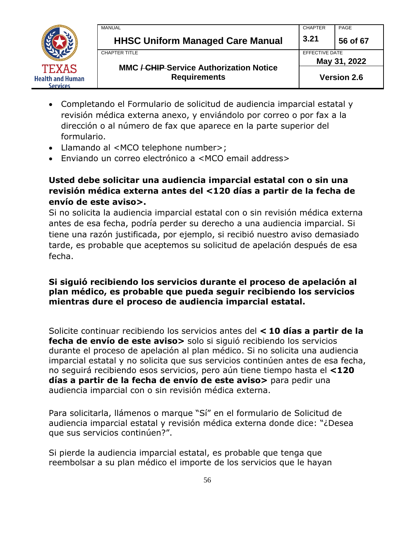

| MANUAL                                                                | <b>CHAPTER</b>                 | PAGE     |
|-----------------------------------------------------------------------|--------------------------------|----------|
| <b>HHSC Uniform Managed Care Manual</b>                               | 3.21                           | 56 of 67 |
| CHAPTER TITLE                                                         | EFFECTIVE DATE<br>May 31, 2022 |          |
| <b>MMC / CHIP Service Authorization Notice</b><br><b>Requirements</b> | <b>Version 2.6</b>             |          |

- Completando el Formulario de solicitud de audiencia imparcial estatal y revisión médica externa anexo, y enviándolo por correo o por fax a la dirección o al número de fax que aparece en la parte superior del formulario.
- Llamando al <MCO telephone number>;
- Enviando un correo electrónico a <MCO email address>

#### **Usted debe solicitar una audiencia imparcial estatal con o sin una revisión médica externa antes del <120 días a partir de la fecha de envío de este aviso>.**

Si no solicita la audiencia imparcial estatal con o sin revisión médica externa antes de esa fecha, podría perder su derecho a una audiencia imparcial. Si tiene una razón justificada, por ejemplo, si recibió nuestro aviso demasiado tarde, es probable que aceptemos su solicitud de apelación después de esa fecha.

#### **Si siguió recibiendo los servicios durante el proceso de apelación al plan médico, es probable que pueda seguir recibiendo los servicios mientras dure el proceso de audiencia imparcial estatal.**

Solicite continuar recibiendo los servicios antes del **< 10 días a partir de la fecha de envío de este aviso>** solo si siguió recibiendo los servicios durante el proceso de apelación al plan médico. Si no solicita una audiencia imparcial estatal y no solicita que sus servicios continúen antes de esa fecha, no seguirá recibiendo esos servicios, pero aún tiene tiempo hasta el **<120 días a partir de la fecha de envío de este aviso>** para pedir una audiencia imparcial con o sin revisión médica externa.

Para solicitarla, llámenos o marque "Sí" en el formulario de Solicitud de audiencia imparcial estatal y revisión médica externa donde dice: "¿Desea que sus servicios continúen?".

Si pierde la audiencia imparcial estatal, es probable que tenga que reembolsar a su plan médico el importe de los servicios que le hayan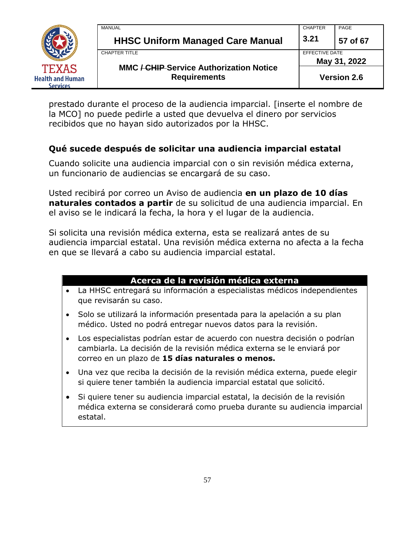

| <b>MMC / CHIP Service Authorization Notice</b><br><b>Requirements</b> |                                | <b>Version 2.6</b> |
|-----------------------------------------------------------------------|--------------------------------|--------------------|
| <b>CHAPTER TITLE</b>                                                  | EFFECTIVE DATE<br>May 31, 2022 |                    |
| <b>HHSC Uniform Managed Care Manual</b>                               | 3.21                           | 57 of 67           |
| <b>MANUAL</b>                                                         | <b>CHAPTER</b>                 | PAGE               |

prestado durante el proceso de la audiencia imparcial. [inserte el nombre de la MCO] no puede pedirle a usted que devuelva el dinero por servicios recibidos que no hayan sido autorizados por la HHSC.

#### **Qué sucede después de solicitar una audiencia imparcial estatal**

Cuando solicite una audiencia imparcial con o sin revisión médica externa, un funcionario de audiencias se encargará de su caso.

Usted recibirá por correo un Aviso de audiencia **en un plazo de 10 días naturales contados a partir** de su solicitud de una audiencia imparcial. En el aviso se le indicará la fecha, la hora y el lugar de la audiencia.

Si solicita una revisión médica externa, esta se realizará antes de su audiencia imparcial estatal. Una revisión médica externa no afecta a la fecha en que se llevará a cabo su audiencia imparcial estatal.

## **Acerca de la revisión médica externa**

- La HHSC entregará su información a especialistas médicos independientes que revisarán su caso.
- Solo se utilizará la información presentada para la apelación a su plan médico. Usted no podrá entregar nuevos datos para la revisión.
- Los especialistas podrían estar de acuerdo con nuestra decisión o podrían cambiarla. La decisión de la revisión médica externa se le enviará por correo en un plazo de **15 días naturales o menos.**
- Una vez que reciba la decisión de la revisión médica externa, puede elegir si quiere tener también la audiencia imparcial estatal que solicitó.
- Si quiere tener su audiencia imparcial estatal, la decisión de la revisión médica externa se considerará como prueba durante su audiencia imparcial estatal.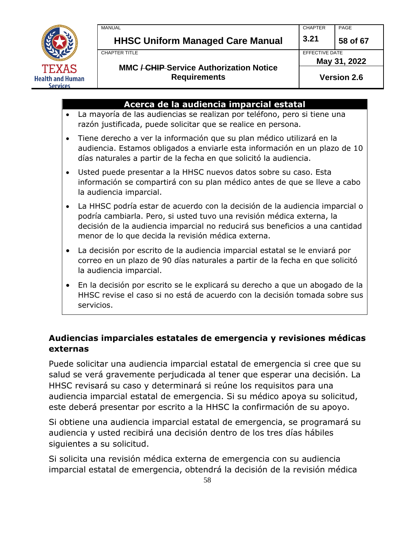

servicios.

| <b>CHAPTER</b><br>MANUAL                |                | PAGE     |
|-----------------------------------------|----------------|----------|
| <b>HHSC Uniform Managed Care Manual</b> | 3.21           | 58 of 67 |
| CHAPTER TITLE                           | EFFECTIVE DATE |          |

#### **MMC / CHIP Service Authorization Notice Requirements**

EFFECTIVE DATE

**May 31, 2022**

**Version 2.6**

|           | Acerca de la audiencia imparcial estatal                                                                                                                                                                                                                                                   |
|-----------|--------------------------------------------------------------------------------------------------------------------------------------------------------------------------------------------------------------------------------------------------------------------------------------------|
| $\bullet$ | La mayoría de las audiencias se realizan por teléfono, pero si tiene una<br>razón justificada, puede solicitar que se realice en persona.                                                                                                                                                  |
| $\bullet$ | Tiene derecho a ver la información que su plan médico utilizará en la<br>audiencia. Estamos obligados a enviarle esta información en un plazo de 10<br>días naturales a partir de la fecha en que solicitó la audiencia.                                                                   |
| $\bullet$ | Usted puede presentar a la HHSC nuevos datos sobre su caso. Esta<br>información se compartirá con su plan médico antes de que se lleve a cabo<br>la audiencia imparcial.                                                                                                                   |
| $\bullet$ | La HHSC podría estar de acuerdo con la decisión de la audiencia imparcial o<br>podría cambiarla. Pero, si usted tuvo una revisión médica externa, la<br>decisión de la audiencia imparcial no reducirá sus beneficios a una cantidad<br>menor de lo que decida la revisión médica externa. |
| $\bullet$ | La decisión por escrito de la audiencia imparcial estatal se le enviará por<br>correo en un plazo de 90 días naturales a partir de la fecha en que solicitó<br>la audiencia imparcial.                                                                                                     |
| $\bullet$ | En la decisión por escrito se le explicará su derecho a que un abogado de la<br>HHSC revise el caso si no está de acuerdo con la decisión tomada sobre sus                                                                                                                                 |

## **Audiencias imparciales estatales de emergencia y revisiones médicas externas**

Puede solicitar una audiencia imparcial estatal de emergencia si cree que su salud se verá gravemente perjudicada al tener que esperar una decisión. La HHSC revisará su caso y determinará si reúne los requisitos para una audiencia imparcial estatal de emergencia. Si su médico apoya su solicitud, este deberá presentar por escrito a la HHSC la confirmación de su apoyo.

Si obtiene una audiencia imparcial estatal de emergencia, se programará su audiencia y usted recibirá una decisión dentro de los tres días hábiles siguientes a su solicitud.

Si solicita una revisión médica externa de emergencia con su audiencia imparcial estatal de emergencia, obtendrá la decisión de la revisión médica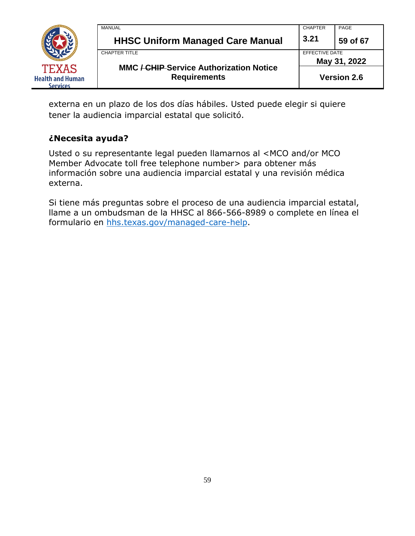

externa en un plazo de los dos días hábiles. Usted puede elegir si quiere tener la audiencia imparcial estatal que solicitó.

#### **¿Necesita ayuda?**

Usted o su representante legal pueden llamarnos al <MCO and/or MCO Member Advocate toll free telephone number > para obtener más información sobre una audiencia imparcial estatal y una revisión médica externa.

Si tiene más preguntas sobre el proceso de una audiencia imparcial estatal, llame a un ombudsman de la HHSC al 866-566-8989 o complete en línea el formulario en [hhs.texas.gov/managed-care-help.](https://hhs.texas.gov/managed-care-help)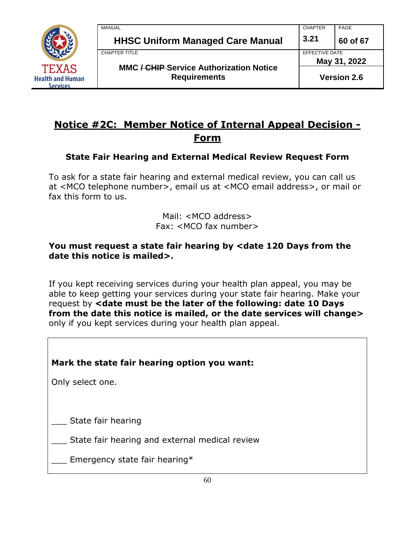

| MANUAL                                                                | <b>CHAPTER</b>                 | PAGE     |
|-----------------------------------------------------------------------|--------------------------------|----------|
| <b>HHSC Uniform Managed Care Manual</b>                               | 3.21                           | 60 of 67 |
| CHAPTER TITLE                                                         | EFFECTIVE DATE<br>May 31, 2022 |          |
| <b>MMC / CHIP Service Authorization Notice</b><br><b>Requirements</b> | <b>Version 2.6</b>             |          |

## **Notice #2C: Member Notice of Internal Appeal Decision - Form**

#### **State Fair Hearing and External Medical Review Request Form**

To ask for a state fair hearing and external medical review, you can call us at <MCO telephone number>, email us at <MCO email address>, or mail or fax this form to us.

> Mail: <MCO address> Fax: <MCO fax number>

#### **You must request a state fair hearing by <date 120 Days from the date this notice is mailed>.**

If you kept receiving services during your health plan appeal, you may be able to keep getting your services during your state fair hearing. Make your request by **<date must be the later of the following: date 10 Days from the date this notice is mailed, or the date services will change>**  only if you kept services during your health plan appeal.

## **Mark the state fair hearing option you want:**

Only select one.

State fair hearing

State fair hearing and external medical review

 $\Box$  Emergency state fair hearing\*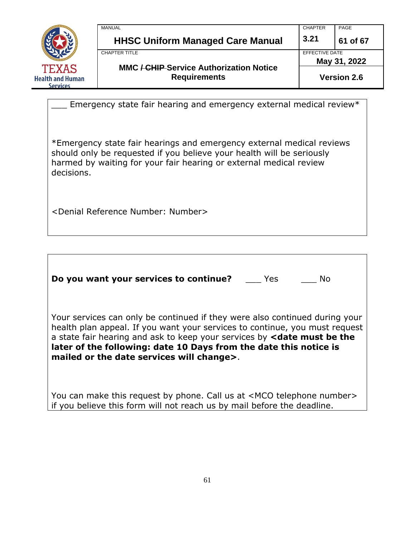

| <b>MANUAL</b>                                                         | <b>CHAPTER</b>                 | PAGE     |
|-----------------------------------------------------------------------|--------------------------------|----------|
| <b>HHSC Uniform Managed Care Manual</b>                               | 3.21                           | 61 of 67 |
| CHAPTER TITLE                                                         | EFFECTIVE DATE<br>May 31, 2022 |          |
| <b>MMC / CHIP Service Authorization Notice</b><br><b>Requirements</b> | <b>Version 2.6</b>             |          |

Emergency state fair hearing and emergency external medical review\*

\*Emergency state fair hearings and emergency external medical reviews should only be requested if you believe your health will be seriously harmed by waiting for your fair hearing or external medical review decisions.

<Denial Reference Number: Number>

**Do you want your services to continue?** \_\_\_ Yes \_\_\_ No

Your services can only be continued if they were also continued during your health plan appeal. If you want your services to continue, you must request a state fair hearing and ask to keep your services by **<date must be the later of the following: date 10 Days from the date this notice is mailed or the date services will change>**.

You can make this request by phone. Call us at <MCO telephone number> if you believe this form will not reach us by mail before the deadline.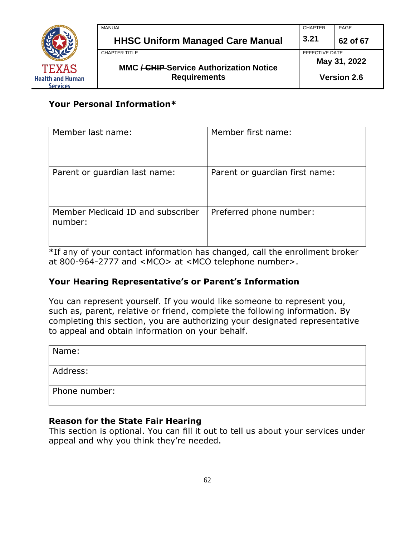

| MANUAL                                         | <b>CHAPTER</b>                 | PAGE               |
|------------------------------------------------|--------------------------------|--------------------|
| <b>HHSC Uniform Managed Care Manual</b>        | 3.21                           | 62 of 67           |
| <b>CHAPTER TITLE</b>                           | EFFECTIVE DATE<br>May 31, 2022 |                    |
| <b>MMC / CHIP Service Authorization Notice</b> |                                |                    |
| <b>Requirements</b>                            |                                | <b>Version 2.6</b> |

## **Your Personal Information\***

| Member last name:                            | Member first name:             |
|----------------------------------------------|--------------------------------|
| Parent or guardian last name:                | Parent or guardian first name: |
| Member Medicaid ID and subscriber<br>number: | Preferred phone number:        |

\*If any of your contact information has changed, call the enrollment broker at 800-964-2777 and <MCO> at <MCO telephone number>.

#### **Your Hearing Representative's or Parent's Information**

You can represent yourself. If you would like someone to represent you, such as, parent, relative or friend, complete the following information. By completing this section, you are authorizing your designated representative to appeal and obtain information on your behalf.

| Name:         |  |
|---------------|--|
| Address:      |  |
| Phone number: |  |

#### **Reason for the State Fair Hearing**

This section is optional. You can fill it out to tell us about your services under appeal and why you think they're needed.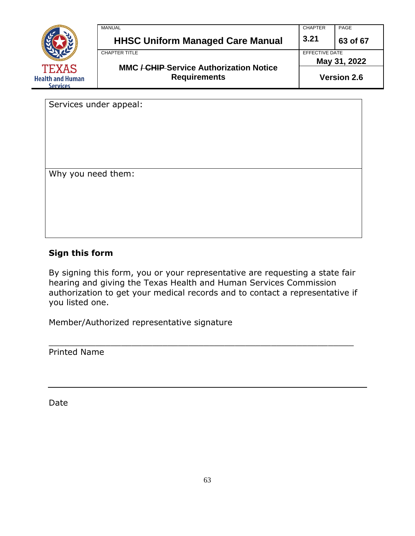

| EFFECTIVE DATE<br>CHAPTER TITLE |
|---------------------------------|

Services under appeal:

Why you need them:

#### **Sign this form**

By signing this form, you or your representative are requesting a state fair hearing and giving the Texas Health and Human Services Commission authorization to get your medical records and to contact a representative if you listed one.

\_\_\_\_\_\_\_\_\_\_\_\_\_\_\_\_\_\_\_\_\_\_\_\_\_\_\_\_\_\_\_\_\_\_\_\_\_\_\_\_\_\_\_\_\_\_\_\_\_\_\_\_\_\_\_\_\_\_\_

Member/Authorized representative signature

Printed Name

Date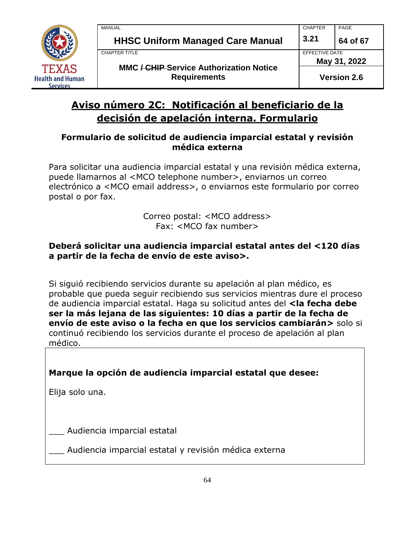

## **Aviso número 2C: Notificación al beneficiario de la decisión de apelación interna. Formulario**

#### **Formulario de solicitud de audiencia imparcial estatal y revisión médica externa**

Para solicitar una audiencia imparcial estatal y una revisión médica externa, puede llamarnos al <MCO telephone number>, enviarnos un correo electrónico a <MCO email address>, o enviarnos este formulario por correo postal o por fax.

> Correo postal: <MCO address> Fax: <MCO fax number>

#### **Deberá solicitar una audiencia imparcial estatal antes del <120 días a partir de la fecha de envío de este aviso>.**

Si siguió recibiendo servicios durante su apelación al plan médico, es probable que pueda seguir recibiendo sus servicios mientras dure el proceso de audiencia imparcial estatal. Haga su solicitud antes del **<la fecha debe ser la más lejana de las siguientes: 10 días a partir de la fecha de envío de este aviso o la fecha en que los servicios cambiarán>** solo si continuó recibiendo los servicios durante el proceso de apelación al plan médico.

## **Marque la opción de audiencia imparcial estatal que desee:**

Elija solo una.

\_\_\_ Audiencia imparcial estatal

Audiencia imparcial estatal y revisión médica externa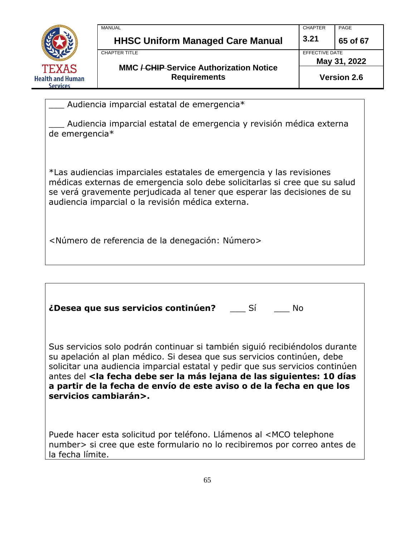

| <b>MANUAL</b>                                                         | <b>CHAPTER</b>     | PAGE     |
|-----------------------------------------------------------------------|--------------------|----------|
| <b>HHSC Uniform Managed Care Manual</b>                               | 3.21               | 65 of 67 |
| CHAPTER TITLE                                                         | EFFECTIVE DATE     |          |
|                                                                       | May 31, 2022       |          |
| <b>MMC / CHIP Service Authorization Notice</b><br><b>Requirements</b> | <b>Version 2.6</b> |          |

Audiencia imparcial estatal de emergencia\*

\_\_\_ Audiencia imparcial estatal de emergencia y revisión médica externa de emergencia\*

\*Las audiencias imparciales estatales de emergencia y las revisiones médicas externas de emergencia solo debe solicitarlas si cree que su salud se verá gravemente perjudicada al tener que esperar las decisiones de su audiencia imparcial o la revisión médica externa.

<Número de referencia de la denegación: Número>

| <i>i</i> Desea que sus servicios continúen? Sí<br>No.                                                                                                                                                                                                                                                                                                                                                                                                       |
|-------------------------------------------------------------------------------------------------------------------------------------------------------------------------------------------------------------------------------------------------------------------------------------------------------------------------------------------------------------------------------------------------------------------------------------------------------------|
| Sus servicios solo podrán continuar si también siguió recibiéndolos durante<br>su apelación al plan médico. Si desea que sus servicios continúen, debe<br>solicitar una audiencia imparcial estatal y pedir que sus servicios continúen<br>antes del <la 10="" de="" debe="" días<br="" fecha="" la="" las="" lejana="" más="" ser="" siguientes:="">a partir de la fecha de envío de este aviso o de la fecha en que los<br/>servicios cambiarán&gt;.</la> |
| Puede hacer esta solicitud por teléfono. Llámenos al <mco td="" telephone<=""></mco>                                                                                                                                                                                                                                                                                                                                                                        |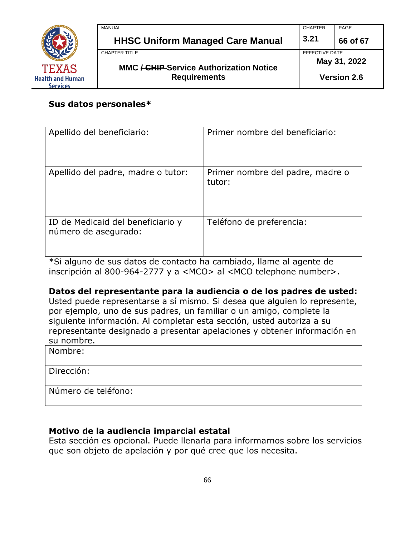

| <b>MANUAL</b>                                  | <b>CHAPTER</b>     | PAGE     |
|------------------------------------------------|--------------------|----------|
| <b>HHSC Uniform Managed Care Manual</b>        | 3.21               | 66 of 67 |
| CHAPTER TITLE                                  | EFFECTIVE DATE     |          |
| <b>MMC / CHIP Service Authorization Notice</b> | May 31, 2022       |          |
| <b>Requirements</b>                            | <b>Version 2.6</b> |          |

#### **Sus datos personales\***

| Apellido del beneficiario:                                | Primer nombre del beneficiario:            |
|-----------------------------------------------------------|--------------------------------------------|
| Apellido del padre, madre o tutor:                        | Primer nombre del padre, madre o<br>tutor: |
| ID de Medicaid del beneficiario y<br>número de asegurado: | Teléfono de preferencia:                   |

\*Si alguno de sus datos de contacto ha cambiado, llame al agente de inscripción al 800-964-2777 y a <MCO > al <MCO telephone number>.

#### **Datos del representante para la audiencia o de los padres de usted:**

Usted puede representarse a sí mismo. Si desea que alguien lo represente, por ejemplo, uno de sus padres, un familiar o un amigo, complete la siguiente información. Al completar esta sección, usted autoriza a su representante designado a presentar apelaciones y obtener información en su nombre.

Nombre:

Dirección:

Número de teléfono:

#### **Motivo de la audiencia imparcial estatal**

Esta sección es opcional. Puede llenarla para informarnos sobre los servicios que son objeto de apelación y por qué cree que los necesita.